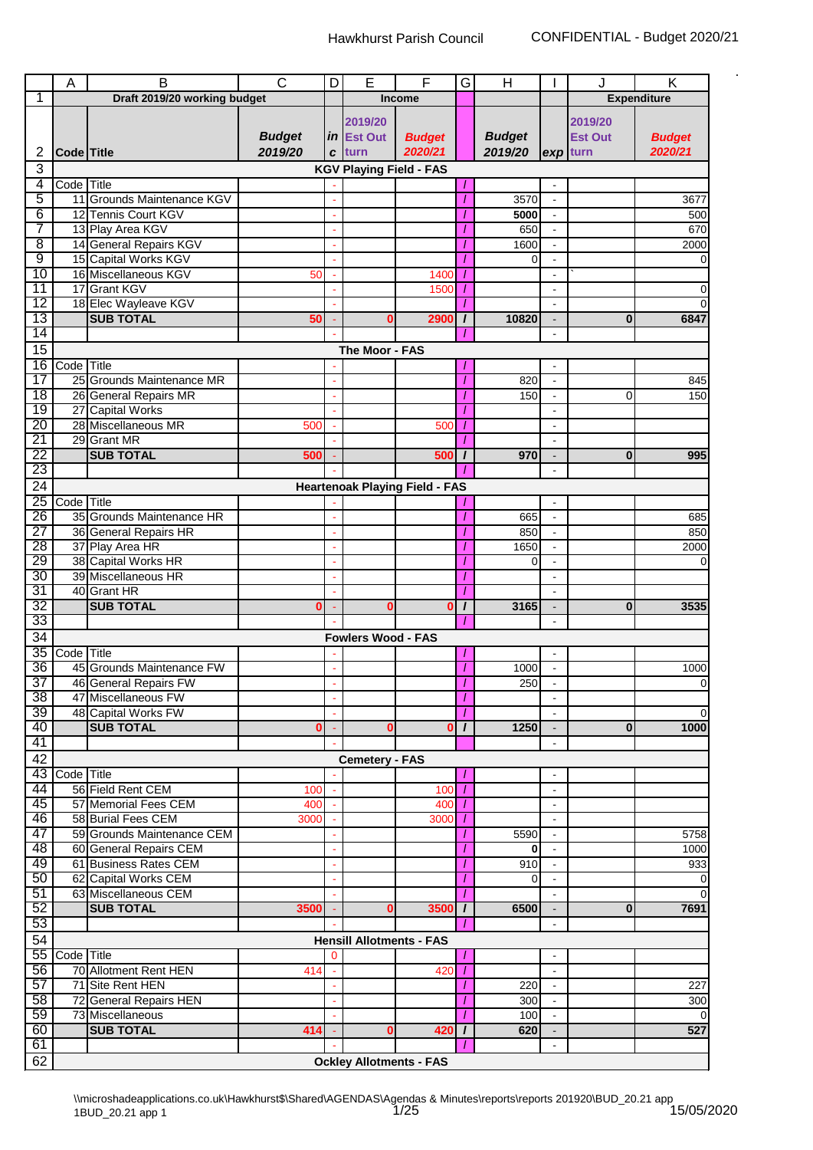|                 | A             | B                            | $\overline{\text{c}}$ | D        | E                               | F                                     | G            | Н             |                          | J              | Κ                  |
|-----------------|---------------|------------------------------|-----------------------|----------|---------------------------------|---------------------------------------|--------------|---------------|--------------------------|----------------|--------------------|
| 1               |               | Draft 2019/20 working budget |                       |          |                                 | <b>Income</b>                         |              |               |                          |                | <b>Expenditure</b> |
|                 |               |                              |                       |          |                                 |                                       |              |               |                          |                |                    |
|                 |               |                              |                       |          | 2019/20                         |                                       |              |               |                          | 2019/20        |                    |
|                 |               |                              | <b>Budget</b>         |          | in Est Out                      | <b>Budget</b>                         |              | <b>Budget</b> |                          | <b>Est Out</b> | <b>Budget</b>      |
| 2               | Code Title    |                              | 2019/20               | C        | turn                            | 2020/21                               |              | 2019/20       |                          | exp turn       | 2020/21            |
| 3               |               |                              |                       |          | <b>KGV Playing Field - FAS</b>  |                                       |              |               |                          |                |                    |
| 4               | Code Title    |                              |                       |          |                                 |                                       |              |               |                          |                |                    |
| 5               |               | 11 Grounds Maintenance KGV   |                       |          |                                 |                                       |              | 3570          | L,                       |                | 3677               |
| 6               |               | 12 Tennis Court KGV          |                       |          |                                 |                                       |              | 5000          |                          |                | 500                |
| 7               |               | 13 Play Area KGV             |                       |          |                                 |                                       |              | 650           |                          |                | 670                |
| $\overline{8}$  |               | 14 General Repairs KGV       |                       |          |                                 |                                       |              | 1600          |                          |                | 2000               |
| 9               |               | 15 Capital Works KGV         |                       |          |                                 |                                       |              | 0             |                          |                | $\Omega$           |
| 10              |               | 16 Miscellaneous KGV         | 50                    |          |                                 | 1400                                  |              |               | $\blacksquare$           |                |                    |
| 11              |               | 17 Grant KGV                 |                       |          |                                 | 1500                                  | T            |               | $\overline{a}$           |                | 0                  |
| 12              |               | 18 Elec Wayleave KGV         |                       |          |                                 |                                       |              |               | $\overline{\phantom{a}}$ |                | 0                  |
| 13              |               | <b>SUB TOTAL</b>             | 50                    |          | 0                               | 2900                                  | $\prime$     | 10820         | $\overline{\phantom{a}}$ | $\bf{0}$       | 6847               |
| 14              |               |                              |                       |          |                                 |                                       |              |               |                          |                |                    |
| $\overline{15}$ |               |                              |                       |          | The Moor - FAS                  |                                       |              |               |                          |                |                    |
|                 |               |                              |                       |          |                                 |                                       |              |               |                          |                |                    |
| 16              | Code Title    |                              |                       |          |                                 |                                       |              |               |                          |                |                    |
| $\overline{17}$ |               | 25 Grounds Maintenance MR    |                       |          |                                 |                                       |              | 820           | ä,                       |                | 845                |
| 18              |               | 26 General Repairs MR        |                       |          |                                 |                                       |              | 150           | $\blacksquare$           | 0              | 150                |
| 19              |               | 27 Capital Works             |                       |          |                                 |                                       |              |               |                          |                |                    |
| 20              |               | 28 Miscellaneous MR          | 500                   |          |                                 | 500                                   |              |               |                          |                |                    |
| $\overline{21}$ |               | 29 Grant MR                  |                       |          |                                 |                                       |              |               |                          |                |                    |
| 22              |               | <b>SUB TOTAL</b>             | 500                   |          |                                 | 500                                   | $\prime$     | 970           |                          | $\bf{0}$       | 995                |
| 23              |               |                              |                       |          |                                 |                                       |              |               |                          |                |                    |
| 24              |               |                              |                       |          |                                 | <b>Heartenoak Playing Field - FAS</b> |              |               |                          |                |                    |
| 25              | Code Title    |                              |                       |          |                                 |                                       |              |               | $\overline{\phantom{a}}$ |                |                    |
| 26              |               | 35 Grounds Maintenance HR    |                       |          |                                 |                                       |              | 665           |                          |                | 685                |
| 27              |               | 36 General Repairs HR        |                       |          |                                 |                                       |              | 850           |                          |                | 850                |
| 28              |               | 37 Play Area HR              |                       |          |                                 |                                       |              | 1650          |                          |                | 2000               |
| 29              |               | 38 Capital Works HR          |                       |          |                                 |                                       |              | $\Omega$      |                          |                | $\overline{0}$     |
| 30              |               | 39 Miscellaneous HR          |                       |          |                                 |                                       |              |               | $\blacksquare$           |                |                    |
| 31              |               | 40 Grant HR                  |                       |          |                                 |                                       | 1            |               |                          |                |                    |
| $\overline{32}$ |               | <b>SUB TOTAL</b>             |                       |          |                                 | 0                                     | I            | 3165          |                          | $\bf{0}$       | 3535               |
| 33              |               |                              |                       |          |                                 |                                       |              |               |                          |                |                    |
| 34              |               |                              |                       |          |                                 |                                       |              |               |                          |                |                    |
|                 |               |                              |                       |          | <b>Fowlers Wood - FAS</b>       |                                       |              |               |                          |                |                    |
| 35              | Code Title    |                              |                       |          |                                 |                                       |              |               |                          |                |                    |
| 36              |               | 45 Grounds Maintenance FW    |                       |          |                                 |                                       |              | 1000          | $\blacksquare$           |                | 1000               |
| 37              |               | 46 General Repairs FW        |                       |          |                                 |                                       |              | 250           |                          |                | $\Omega$           |
| 38              |               | 47 Miscellaneous FW          |                       |          |                                 |                                       | T            |               | $\blacksquare$           |                |                    |
| $\overline{39}$ |               | 48 Capital Works FW          |                       |          |                                 |                                       |              |               |                          |                | $\Omega$           |
| 40              |               | <b>SUB TOTAL</b>             | Ω                     |          | $\bf{0}$                        | $\bf{0}$                              | $\mathbf{I}$ | 1250          |                          | $\mathbf{0}$   | 1000               |
| 41              |               |                              |                       |          |                                 |                                       |              |               |                          |                |                    |
| 42              |               |                              |                       |          | <b>Cemetery - FAS</b>           |                                       |              |               |                          |                |                    |
|                 | 43 Code Title |                              |                       |          |                                 |                                       |              |               | $\blacksquare$           |                |                    |
| 44              |               | 56 Field Rent CEM            | 100                   |          |                                 | 100                                   |              |               | $\overline{\phantom{a}}$ |                |                    |
| 45              |               | 57 Memorial Fees CEM         | 400                   |          |                                 | 400                                   |              |               | $\blacksquare$           |                |                    |
| 46              |               | 58 Burial Fees CEM           | 3000                  |          |                                 | 3000                                  |              |               | $\blacksquare$           |                |                    |
| 47              |               | 59 Grounds Maintenance CEM   |                       |          |                                 |                                       |              | 5590          |                          |                | 5758               |
| 48              |               | 60 General Repairs CEM       |                       |          |                                 |                                       |              | 0             |                          |                | 1000               |
| 49              |               | 61 Business Rates CEM        |                       |          |                                 |                                       |              | 910           | $\overline{a}$           |                | 933                |
| 50              |               | 62 Capital Works CEM         |                       |          |                                 |                                       |              | $\Omega$      | $\overline{a}$           |                | $\overline{0}$     |
| 51              |               | 63 Miscellaneous CEM         |                       |          |                                 |                                       |              |               |                          |                | $\Omega$           |
| 52              |               | <b>SUB TOTAL</b>             | 3500                  |          | $\bf{0}$                        | 3500                                  | $\prime$     | 6500          |                          | 0              | 7691               |
| 53              |               |                              |                       |          |                                 |                                       |              |               |                          |                |                    |
|                 |               |                              |                       |          |                                 |                                       |              |               |                          |                |                    |
| $\overline{54}$ |               |                              |                       |          | <b>Hensill Allotments - FAS</b> |                                       |              |               |                          |                |                    |
| 55              | Code Title    |                              |                       | $\Omega$ |                                 |                                       |              |               |                          |                |                    |
| 56              |               | 70 Allotment Rent HEN        | 414                   |          |                                 | 420                                   |              |               | $\blacksquare$           |                |                    |
| 57              |               | 71 Site Rent HEN             |                       |          |                                 |                                       | 7            | 220           | $\blacksquare$           |                | 227                |
| 58              |               | 72 General Repairs HEN       |                       |          |                                 |                                       |              | 300           |                          |                | 300                |
| 59              |               | 73 Miscellaneous             |                       |          |                                 |                                       |              | 100           |                          |                | $\Omega$           |
| 60              |               | <b>SUB TOTAL</b>             | 414                   |          | 0                               | 420                                   | $\prime$     | 620           |                          |                | 527                |
| 61              |               |                              |                       |          |                                 |                                       |              |               | $\blacksquare$           |                |                    |
| 62              |               |                              |                       |          | <b>Ockley Allotments - FAS</b>  |                                       |              |               |                          |                |                    |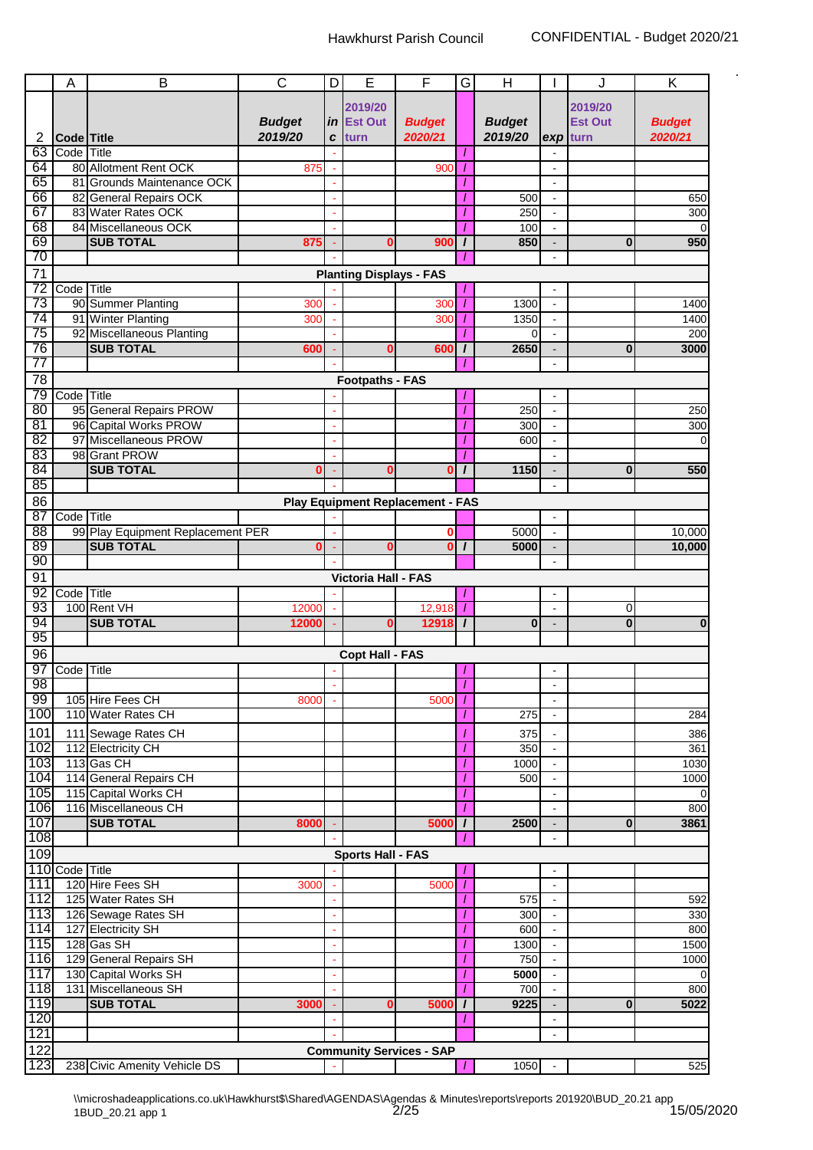|                 | A              | B                                 | $\overline{\text{c}}$ | D  | E                              | F                                       | G        | $\overline{H}$ |                          | J              | Κ              |
|-----------------|----------------|-----------------------------------|-----------------------|----|--------------------------------|-----------------------------------------|----------|----------------|--------------------------|----------------|----------------|
|                 |                |                                   |                       |    |                                |                                         |          |                |                          |                |                |
|                 |                |                                   |                       |    | 2019/20                        |                                         |          |                |                          | 2019/20        |                |
|                 |                |                                   | <b>Budget</b>         | in | <b>Est Out</b>                 | <b>Budget</b>                           |          | <b>Budget</b>  |                          | <b>Est Out</b> | <b>Budget</b>  |
| 2               | Code Title     |                                   | 2019/20               | C  | turn                           | 2020/21                                 |          | 2019/20        |                          | $exp$ turn     | 2020/21        |
| 63              | Code Title     |                                   |                       |    |                                |                                         |          |                |                          |                |                |
| 64              |                | 80 Allotment Rent OCK             | 875                   |    |                                | 900                                     |          |                |                          |                |                |
| 65              |                | 81 Grounds Maintenance OCK        |                       |    |                                |                                         |          |                | $\overline{\phantom{a}}$ |                |                |
| 66              |                | 82 General Repairs OCK            |                       |    |                                |                                         |          | 500            | $\blacksquare$           |                | 650            |
| 67              |                | 83 Water Rates OCK                |                       |    |                                |                                         |          | 250            | $\blacksquare$           |                | 300            |
| 68              |                | 84 Miscellaneous OCK              |                       |    |                                |                                         |          | 100            |                          |                | $\Omega$       |
| 69              |                | <b>SUB TOTAL</b>                  | 875                   |    | 0                              | 900                                     | $\prime$ | 850            |                          | $\bf{0}$       | 950            |
| 70              |                |                                   |                       |    |                                |                                         |          |                | $\overline{a}$           |                |                |
|                 |                |                                   |                       |    |                                |                                         |          |                |                          |                |                |
| $\overline{71}$ |                |                                   |                       |    | <b>Planting Displays - FAS</b> |                                         |          |                |                          |                |                |
| 72              | Code Title     |                                   |                       |    |                                |                                         |          |                | $\overline{a}$           |                |                |
| 73              |                | 90 Summer Planting                | 300                   |    |                                | <b>300</b>                              |          | 1300           | $\blacksquare$           |                | 1400           |
| 74              |                | 91 Winter Planting                | 300                   |    |                                | 300                                     |          | 1350           | $\blacksquare$           |                | 1400           |
| 75              |                | 92 Miscellaneous Planting         |                       |    |                                |                                         |          | 0              |                          |                | 200            |
| 76              |                | <b>SUB TOTAL</b>                  | 600                   |    | $\mathbf 0$                    | 600                                     | $\prime$ | 2650           |                          | $\bf{0}$       | 3000           |
| 77              |                |                                   |                       |    |                                |                                         |          |                | $\overline{a}$           |                |                |
| 78              |                |                                   |                       |    | <b>Footpaths - FAS</b>         |                                         |          |                |                          |                |                |
| 79              | Code Title     |                                   |                       |    |                                |                                         |          |                |                          |                |                |
| 80              |                | 95 General Repairs PROW           |                       |    |                                |                                         |          | 250            |                          |                | 250            |
| 81              |                | 96 Capital Works PROW             |                       |    |                                |                                         |          | 300            | $\blacksquare$           |                | 300            |
|                 |                |                                   |                       |    |                                |                                         |          |                |                          |                |                |
| 82              |                | 97 Miscellaneous PROW             |                       |    |                                |                                         |          | 600            |                          |                | $\Omega$       |
| 83              |                | 98 Grant PROW                     |                       |    |                                |                                         |          |                |                          |                |                |
| 84              |                | <b>SUB TOTAL</b>                  | 0                     |    | 0                              | $\bf{0}$                                | $\prime$ | 1150           | $\blacksquare$           | $\bf{0}$       | 550            |
| 85              |                |                                   |                       |    |                                |                                         |          |                | $\blacksquare$           |                |                |
| 86              |                |                                   |                       |    |                                | <b>Play Equipment Replacement - FAS</b> |          |                |                          |                |                |
| $\overline{87}$ | Code Title     |                                   |                       |    |                                |                                         |          |                | $\blacksquare$           |                |                |
| 88              |                | 99 Play Equipment Replacement PER |                       |    |                                | 0                                       |          | 5000           | $\mathbf{r}$             |                | 10,000         |
| 89              |                | <b>SUB TOTAL</b>                  | Λ                     |    | $\mathbf{0}$                   | $\bf{0}$                                | $\prime$ | 5000           |                          |                | 10,000         |
| 90              |                |                                   |                       |    |                                |                                         |          |                | $\overline{\phantom{a}}$ |                |                |
| 91              |                |                                   |                       |    |                                |                                         |          |                |                          |                |                |
|                 |                |                                   |                       |    | <b>Victoria Hall - FAS</b>     |                                         |          |                |                          |                |                |
| 92              | Code Title     |                                   |                       |    |                                |                                         |          |                | $\sim$                   |                |                |
| 93              |                | 100 Rent VH                       | 12000                 |    |                                | 12,918                                  |          |                | L,                       | 0              |                |
| 94              |                | <b>SUB TOTAL</b>                  | 12000                 |    | 0                              | 12918                                   | $\prime$ | $\bf{0}$       | $\overline{a}$           | $\bf{0}$       | $\bf{0}$       |
| 95              |                |                                   |                       |    |                                |                                         |          |                |                          |                |                |
| 96              |                |                                   |                       |    | <b>Copt Hall - FAS</b>         |                                         |          |                |                          |                |                |
| 97              | Code Title     |                                   |                       |    |                                |                                         |          |                |                          |                |                |
| 98              |                |                                   |                       |    |                                |                                         | -        |                |                          |                |                |
| 99              |                | 105 Hire Fees CH                  | 8000                  |    |                                | 5000                                    |          |                | $\blacksquare$           |                |                |
| 100             |                | 110 Water Rates CH                |                       |    |                                |                                         |          | 275            | $\blacksquare$           |                | 284            |
| 101             |                | 111 Sewage Rates CH               |                       |    |                                |                                         |          |                |                          |                |                |
|                 |                |                                   |                       |    |                                |                                         |          | 375            |                          |                | 386            |
| 102             |                | 112 Electricity CH                |                       |    |                                |                                         |          | 350            | $\blacksquare$           |                | 361            |
| 103             |                | 113 Gas CH                        |                       |    |                                |                                         |          | 1000           | $\blacksquare$           |                | 1030           |
| 104             |                | 114 General Repairs CH            |                       |    |                                |                                         |          | 500            |                          |                | 1000           |
| 105             |                | 115 Capital Works CH              |                       |    |                                |                                         |          |                |                          |                | $\overline{0}$ |
| 106             |                | 116 Miscellaneous CH              |                       |    |                                |                                         |          |                |                          |                | 800            |
| 107             |                | <b>SUB TOTAL</b>                  | 8000                  |    |                                | 5000                                    | $\prime$ | 2500           | $\blacksquare$           | 0              | 3861           |
| 108             |                |                                   |                       |    |                                |                                         |          |                | $\blacksquare$           |                |                |
| 109             |                |                                   |                       |    | <b>Sports Hall - FAS</b>       |                                         |          |                |                          |                |                |
|                 | 110 Code Title |                                   |                       |    |                                |                                         |          |                | $\blacksquare$           |                |                |
| 111             |                | 120 Hire Fees SH                  | 3000                  |    |                                | 5000                                    | 7        |                | $\blacksquare$           |                |                |
| 112             |                | 125 Water Rates SH                |                       |    |                                |                                         |          |                |                          |                |                |
|                 |                |                                   |                       |    |                                |                                         |          | 575            |                          |                | 592            |
| 113             |                | 126 Sewage Rates SH               |                       |    |                                |                                         |          | 300            |                          |                | 330            |
| 114             |                | 127 Electricity SH                |                       |    |                                |                                         |          | 600            | $\blacksquare$           |                | 800            |
| 115             |                | 128 Gas SH                        |                       |    |                                |                                         |          | 1300           | $\blacksquare$           |                | 1500           |
| 116             |                | 129 General Repairs SH            |                       |    |                                |                                         |          | 750            |                          |                | 1000           |
| 117             |                | 130 Capital Works SH              |                       |    |                                |                                         |          | 5000           | $\blacksquare$           |                | $\overline{0}$ |
| 118             |                | 131 Miscellaneous SH              |                       |    |                                |                                         |          | 700            |                          |                | 800            |
| 119             |                | <b>SUB TOTAL</b>                  | 3000                  |    | 0                              | 5000                                    | $\prime$ | 9225           |                          | 0              | 5022           |
| 120             |                |                                   |                       | ÷  |                                |                                         |          |                | $\blacksquare$           |                |                |
| 121             |                |                                   |                       |    |                                |                                         |          |                | $\overline{\phantom{a}}$ |                |                |
| 122             |                |                                   |                       |    |                                | <b>Community Services - SAP</b>         |          |                |                          |                |                |
| 123             |                |                                   |                       |    |                                |                                         |          |                |                          |                |                |
|                 |                | 238 Civic Amenity Vehicle DS      |                       |    |                                |                                         | T        | 1050           | $\sim$                   |                | 525            |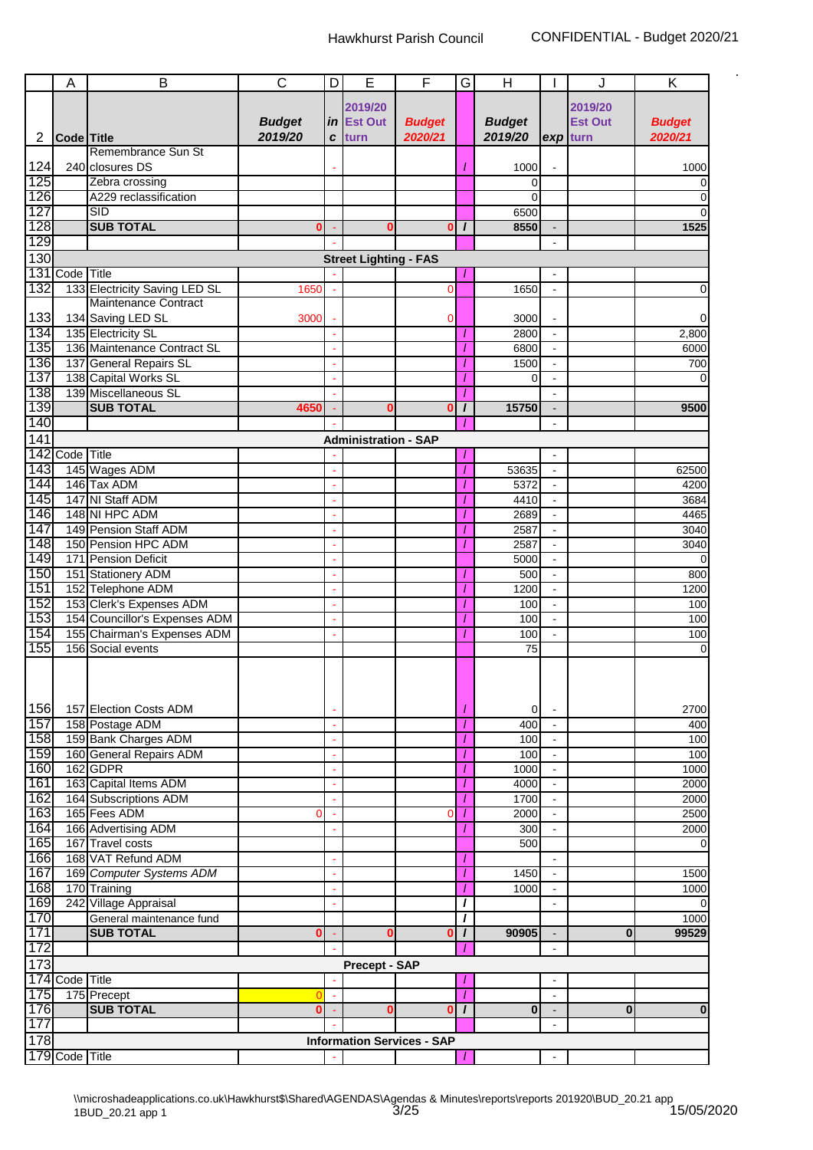|     | A                 | B                               | $\mathsf{C}$             | D                     | Е                            | F                                 | G            | H                        |                          | J              | Κ              |
|-----|-------------------|---------------------------------|--------------------------|-----------------------|------------------------------|-----------------------------------|--------------|--------------------------|--------------------------|----------------|----------------|
|     |                   |                                 |                          |                       |                              |                                   |              |                          |                          |                |                |
|     |                   |                                 |                          |                       | 2019/20                      |                                   |              |                          |                          | 2019/20        |                |
|     |                   |                                 | <b>Budget</b><br>2019/20 |                       | in Est Out                   | <b>Budget</b>                     |              | <b>Budget</b><br>2019/20 |                          | <b>Est Out</b> | <b>Budget</b>  |
| 2   | <b>Code</b> Title | Remembrance Sun St              |                          | C                     | turn                         | 2020/21                           |              |                          | exp turn                 |                | 2020/21        |
|     |                   |                                 |                          |                       |                              |                                   |              |                          |                          |                |                |
| 124 |                   | 240 closures DS                 |                          |                       |                              |                                   |              | 1000                     |                          |                | 1000           |
| 125 |                   | Zebra crossing                  |                          |                       |                              |                                   |              | 0                        |                          |                | 0              |
| 126 |                   | A229 reclassification           |                          |                       |                              |                                   |              | $\Omega$                 |                          |                | $\Omega$       |
| 127 |                   | <b>SID</b>                      |                          |                       |                              |                                   |              | 6500                     |                          |                |                |
| 128 |                   | <b>SUB TOTAL</b>                | 0                        |                       | ſ                            | 0                                 | $\prime$     | 8550                     |                          |                | 1525           |
| 129 |                   |                                 |                          |                       |                              |                                   |              |                          | ÷.                       |                |                |
| 130 |                   |                                 |                          |                       | <b>Street Lighting - FAS</b> |                                   |              |                          |                          |                |                |
| 131 | Code Title        |                                 |                          |                       |                              |                                   |              |                          |                          |                |                |
| 132 |                   | 133 Electricity Saving LED SL   | 1650                     |                       |                              | 0                                 |              | 1650                     |                          |                | 0              |
|     |                   | Maintenance Contract            |                          |                       |                              |                                   |              |                          |                          |                |                |
| 133 |                   | 134 Saving LED SL               | 3000                     |                       |                              | 0                                 |              | 3000                     |                          |                |                |
| 134 |                   | 135 Electricity SL              |                          |                       |                              |                                   |              | 2800                     | L.                       |                | 2,800          |
| 135 |                   | 136 Maintenance Contract SL     |                          |                       |                              |                                   |              | 6800                     | $\blacksquare$           |                | 6000           |
| 136 |                   | 137 General Repairs SL          |                          |                       |                              |                                   |              | 1500                     | $\overline{\phantom{a}}$ |                | 700            |
| 137 |                   | 138 Capital Works SL            |                          |                       |                              |                                   |              | 0                        |                          |                | $\Omega$       |
| 138 |                   | 139 Miscellaneous SL            |                          |                       |                              |                                   |              |                          |                          |                |                |
| 139 |                   | <b>SUB TOTAL</b>                | 4650                     |                       | C                            | 0                                 | $\prime$     | 15750                    |                          |                | 9500           |
| 140 |                   |                                 |                          |                       |                              |                                   |              |                          | $\blacksquare$           |                |                |
| 141 |                   |                                 |                          |                       | <b>Administration - SAP</b>  |                                   |              |                          |                          |                |                |
| 142 | Code Title        |                                 |                          |                       |                              |                                   |              |                          | L.                       |                |                |
| 143 |                   | 145 Wages ADM                   |                          |                       |                              |                                   |              | 53635                    | $\blacksquare$           |                | 62500          |
| 144 |                   | 146 Tax ADM                     |                          |                       |                              |                                   |              | 5372                     | $\overline{\phantom{a}}$ |                | 4200           |
| 145 |                   | 147 NI Staff ADM                |                          |                       |                              |                                   |              | 4410                     | ä,                       |                | 3684           |
| 146 |                   | 148 NI HPC ADM                  |                          |                       |                              |                                   |              | 2689                     | $\blacksquare$           |                | 4465           |
| 147 |                   | 149 Pension Staff ADM           |                          |                       |                              |                                   |              | 2587                     | $\blacksquare$           |                | 3040           |
| 148 |                   | 150 Pension HPC ADM             |                          |                       |                              |                                   |              | 2587                     | $\blacksquare$           |                | 3040           |
| 149 |                   | 171 Pension Deficit             |                          |                       |                              |                                   |              | 5000                     |                          |                | $\Omega$       |
| 150 |                   | 151 Stationery ADM              |                          |                       |                              |                                   |              | 500                      | $\overline{\phantom{a}}$ |                | 800            |
| 151 |                   | 152 Telephone ADM               |                          |                       |                              |                                   |              | 1200                     |                          |                | 1200           |
| 152 |                   | 153 Clerk's Expenses ADM        |                          |                       |                              |                                   |              | 100                      | $\overline{a}$           |                | 100            |
| 153 |                   | 154 Councillor's Expenses ADM   |                          |                       |                              |                                   |              | 100                      | $\blacksquare$           |                | 100            |
| 154 |                   | 155 Chairman's Expenses ADM     |                          |                       |                              |                                   | 1            | 100                      | $\overline{\phantom{a}}$ |                | 100            |
| 155 |                   | 156 Social events               |                          |                       |                              |                                   |              | 75                       |                          |                | 0              |
|     |                   |                                 |                          |                       |                              |                                   |              |                          |                          |                |                |
|     |                   |                                 |                          |                       |                              |                                   |              |                          |                          |                |                |
|     |                   |                                 |                          |                       |                              |                                   |              |                          |                          |                |                |
| 156 |                   | 157 Election Costs ADM          |                          |                       |                              |                                   |              | $\overline{0}$           |                          |                | 2700           |
| 157 |                   | 158 Postage ADM                 |                          | $\tilde{\phantom{a}}$ |                              |                                   | 7            | 400                      | $\blacksquare$           |                | 400            |
| 158 |                   | 159 Bank Charges ADM            |                          |                       |                              |                                   |              | 100                      | $\blacksquare$           |                | 100            |
| 159 |                   | 160 General Repairs ADM         |                          |                       |                              |                                   |              | 100                      | $\blacksquare$           |                | 100            |
| 160 |                   | 162 GDPR                        |                          |                       |                              |                                   |              | 1000                     |                          |                | 1000           |
| 161 |                   | 163 Capital Items ADM           |                          |                       |                              |                                   |              | 4000                     | ä,                       |                | 2000           |
| 162 |                   | 164 Subscriptions ADM           |                          |                       |                              |                                   |              | 1700                     | $\overline{\phantom{a}}$ |                | 2000           |
| 163 |                   | 165 Fees ADM                    | 0                        |                       |                              | C                                 | 1            | 2000                     |                          |                | 2500           |
| 164 |                   | 166 Advertising ADM             |                          | ä,                    |                              |                                   |              | 300                      | $\overline{\phantom{a}}$ |                | 2000           |
| 165 |                   | 167 Travel costs                |                          |                       |                              |                                   |              | 500                      |                          |                | $\Omega$       |
| 166 |                   | 168 VAT Refund ADM              |                          |                       |                              |                                   |              |                          |                          |                |                |
| 167 |                   | 169 Computer Systems ADM        |                          | ÷.                    |                              |                                   |              | 1450                     | $\blacksquare$           |                | 1500           |
| 168 |                   | 170 Training                    |                          | ÷.                    |                              |                                   | 7            | 1000                     | $\blacksquare$           |                | 1000           |
| 169 |                   | 242 Village Appraisal           |                          |                       |                              |                                   | I            |                          | $\blacksquare$           |                | $\overline{0}$ |
| 170 |                   | General maintenance fund        |                          |                       |                              |                                   | T            |                          |                          |                | 1000           |
| 171 |                   | <b>SUB TOTAL</b>                | 0                        |                       | 0                            | $\mathbf 0$                       | $\mathbf{I}$ | 90905                    |                          | $\bf{0}$       | 99529          |
| 172 |                   |                                 |                          |                       |                              |                                   |              |                          | $\blacksquare$           |                |                |
| 173 |                   |                                 |                          |                       |                              |                                   |              |                          |                          |                |                |
|     |                   |                                 |                          |                       | <b>Precept - SAP</b>         |                                   |              |                          |                          |                |                |
| 175 | 174 Code Title    |                                 |                          |                       |                              |                                   |              |                          | $\blacksquare$           |                |                |
| 176 |                   | 175 Precept<br><b>SUB TOTAL</b> | O                        | ÷,                    |                              |                                   | $\prime$     |                          | $\blacksquare$           |                |                |
|     |                   |                                 | $\bf{0}$                 |                       | 0                            | $\bf{0}$                          | $\prime$     | $\bf{0}$                 | $\blacksquare$           | $\bf{0}$       | 0              |
| 177 |                   |                                 |                          |                       |                              |                                   |              |                          | $\blacksquare$           |                |                |
| 178 |                   |                                 |                          |                       |                              | <b>Information Services - SAP</b> |              |                          |                          |                |                |
|     | 179 Code Title    |                                 |                          |                       |                              |                                   |              |                          | $\blacksquare$           |                |                |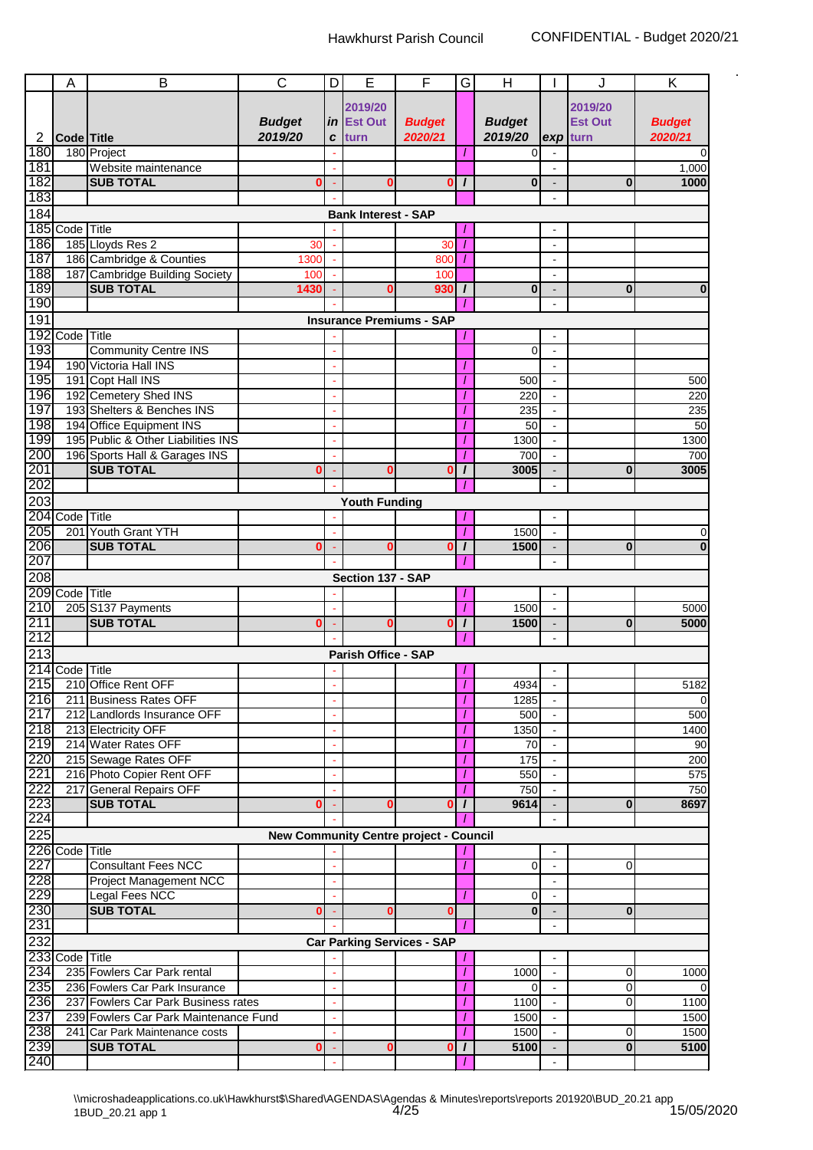|                  | А              | B                                     | $\overline{C}$ | D  | E                          | F                                             | G        | H             |                          | J              | Κ               |
|------------------|----------------|---------------------------------------|----------------|----|----------------------------|-----------------------------------------------|----------|---------------|--------------------------|----------------|-----------------|
|                  |                |                                       |                |    |                            |                                               |          |               |                          |                |                 |
|                  |                |                                       |                |    | 2019/20                    |                                               |          |               |                          | 2019/20        |                 |
|                  |                |                                       | <b>Budget</b>  | in | <b>Est Out</b>             | <b>Budget</b>                                 |          | <b>Budget</b> |                          | <b>Est Out</b> | <b>Budget</b>   |
| 2                | Code Title     |                                       | 2019/20        | C  | turn                       | 2020/21                                       |          | 2019/20       | exp turn                 |                | 2020/21         |
| 180              |                | 180 Project                           |                |    |                            |                                               |          | $\Omega$      |                          |                |                 |
| 181              |                | Website maintenance                   |                |    |                            |                                               |          |               | $\blacksquare$           |                | 1,000           |
| 182              |                | <b>SUB TOTAL</b>                      | 0              |    | C                          | 0                                             | $\prime$ | $\bf{0}$      | $\overline{a}$           | $\bf{0}$       | 1000            |
| 183              |                |                                       |                |    |                            |                                               |          |               |                          |                |                 |
| 184              |                |                                       |                |    | <b>Bank Interest - SAP</b> |                                               |          |               |                          |                |                 |
|                  | 185 Code Title |                                       |                |    |                            |                                               |          |               |                          |                |                 |
| 186              |                | 185 Lloyds Res 2                      | 30             |    |                            | 30                                            |          |               | ä,                       |                |                 |
| 187              |                | 186 Cambridge & Counties              | 1300           |    |                            | 800                                           |          |               | $\blacksquare$           |                |                 |
| 188              |                | 187 Cambridge Building Society        | 100            |    |                            | 100                                           |          |               | $\blacksquare$           |                |                 |
| 189              |                | <b>SUB TOTAL</b>                      | 1430           |    | 0                          | 930                                           | $\prime$ | $\bf{0}$      | $\overline{\phantom{0}}$ | $\bf{0}$       | $\bf{0}$        |
| 190              |                |                                       |                |    |                            |                                               |          |               | $\blacksquare$           |                |                 |
| 191              |                |                                       |                |    |                            | <b>Insurance Premiums - SAP</b>               |          |               |                          |                |                 |
|                  | 192 Code Title |                                       |                |    |                            |                                               |          |               | $\blacksquare$           |                |                 |
| 193              |                | <b>Community Centre INS</b>           |                |    |                            |                                               |          | $\Omega$      |                          |                |                 |
| 194              |                | 190 Victoria Hall INS                 |                |    |                            |                                               |          |               |                          |                |                 |
| 195              |                | 191 Copt Hall INS                     |                |    |                            |                                               |          | 500           | L,                       |                | 500             |
| 196              |                | 192 Cemetery Shed INS                 |                |    |                            |                                               |          | 220           | $\overline{\phantom{a}}$ |                | 220             |
| 197              |                | 193 Shelters & Benches INS            |                |    |                            |                                               |          | 235           |                          |                | 235             |
| 198              |                | 194 Office Equipment INS              |                |    |                            |                                               |          | 50            |                          |                | 50              |
| 199              |                |                                       |                |    |                            |                                               |          |               |                          |                |                 |
|                  |                | 195 Public & Other Liabilities INS    |                |    |                            |                                               |          | 1300          | $\blacksquare$           |                | 1300            |
| 200              |                | 196 Sports Hall & Garages INS         |                |    |                            |                                               |          | 700           |                          |                | 700             |
| 201              |                | <b>SUB TOTAL</b>                      | 0              |    | 0                          | 0                                             | I        | 3005          |                          | $\bf{0}$       | 3005            |
| 202              |                |                                       |                |    |                            |                                               |          |               | ä,                       |                |                 |
| $\overline{203}$ |                |                                       |                |    | <b>Youth Funding</b>       |                                               |          |               |                          |                |                 |
|                  | 204 Code Title |                                       |                |    |                            |                                               |          |               | $\blacksquare$           |                |                 |
| 205              |                | 201 Youth Grant YTH                   |                |    |                            |                                               |          | 1500          |                          |                | $\Omega$        |
| 206              |                | <b>SUB TOTAL</b>                      | 0              |    | 0                          | 0                                             | $\prime$ | 1500          |                          | $\bf{0}$       | $\mathbf{0}$    |
| 207              |                |                                       |                |    |                            |                                               |          |               | $\blacksquare$           |                |                 |
| 208              |                |                                       |                |    | Section 137 - SAP          |                                               |          |               |                          |                |                 |
|                  | 209 Code Title |                                       |                |    |                            |                                               |          |               | $\blacksquare$           |                |                 |
| 210              |                | 205 S137 Payments                     |                |    |                            |                                               | 7        | 1500          | $\blacksquare$           |                | 5000            |
| 211              |                | <b>SUB TOTAL</b>                      | 0              |    | ŋ                          | $\bf{0}$                                      | $\prime$ | 1500          |                          | $\bf{0}$       | 5000            |
| 212              |                |                                       |                |    |                            |                                               |          |               |                          |                |                 |
| 213              |                |                                       |                |    | Parish Office - SAP        |                                               |          |               |                          |                |                 |
|                  | 214 Code Title |                                       |                |    |                            |                                               |          |               |                          |                |                 |
|                  |                | 215 210 Office Rent OFF               |                |    |                            |                                               |          | 4934          |                          |                | 5182            |
| 216              |                | 211 Business Rates OFF                |                |    |                            |                                               |          | 1285          |                          |                | $\Omega$        |
| 217              |                | 212 Landlords Insurance OFF           |                |    |                            |                                               |          | 500           |                          |                | 500             |
| 218              |                | 213 Electricity OFF                   |                |    |                            |                                               |          | 1350          |                          |                | 1400            |
| 219              |                | 214 Water Rates OFF                   |                |    |                            |                                               |          | 70            |                          |                | 90 <sub>0</sub> |
| 220              |                | 215 Sewage Rates OFF                  |                |    |                            |                                               |          | 175           |                          |                |                 |
| 221              |                | 216 Photo Copier Rent OFF             |                |    |                            |                                               |          |               | $\overline{a}$           |                | 200             |
|                  |                |                                       |                |    |                            |                                               |          | 550           |                          |                | 575             |
| 222              |                | 217 General Repairs OFF               |                |    |                            |                                               |          | 750           |                          |                | 750             |
| 223              |                | <b>SUB TOTAL</b>                      | 0              |    | C                          | O                                             | $\prime$ | 9614          |                          | $\bf{0}$       | 8697            |
| 224              |                |                                       |                |    |                            |                                               |          |               |                          |                |                 |
| 225              |                |                                       |                |    |                            | <b>New Community Centre project - Council</b> |          |               |                          |                |                 |
|                  | 226 Code Title |                                       |                |    |                            |                                               |          |               |                          |                |                 |
| 227              |                | <b>Consultant Fees NCC</b>            |                |    |                            |                                               |          | $\Omega$      |                          | 0              |                 |
| 228              |                | <b>Project Management NCC</b>         |                |    |                            |                                               |          |               |                          |                |                 |
| 229              |                | Legal Fees NCC                        |                |    |                            |                                               |          | 0             |                          |                |                 |
| 230              |                | <b>SUB TOTAL</b>                      | Ω              |    | ſ                          | C                                             |          | $\bf{0}$      |                          | 0              |                 |
| 231              |                |                                       |                |    |                            |                                               |          |               |                          |                |                 |
| 232              |                |                                       |                |    |                            | <b>Car Parking Services - SAP</b>             |          |               |                          |                |                 |
|                  | 233 Code Title |                                       |                |    |                            |                                               |          |               |                          |                |                 |
| 234              |                | 235 Fowlers Car Park rental           |                |    |                            |                                               |          | 1000          |                          | 0              | 1000            |
| $\sqrt{235}$     |                | 236 Fowlers Car Park Insurance        |                |    |                            |                                               |          | $\Omega$      | $\mathbf{r}$             | 0              | $\Omega$        |
| 236              |                | 237 Fowlers Car Park Business rates   |                |    |                            |                                               |          | 1100          |                          | 0              | 1100            |
| 237              |                | 239 Fowlers Car Park Maintenance Fund |                |    |                            |                                               |          | 1500          |                          |                | 1500            |
| 238              |                | 241 Car Park Maintenance costs        |                |    |                            |                                               |          | 1500          |                          | 0              | 1500            |
| 239              |                | <b>SUB TOTAL</b>                      | 0              |    | C                          | 0                                             | $\prime$ | 5100          |                          | $\bf{0}$       | 5100            |
| 240              |                |                                       |                |    |                            |                                               |          |               |                          |                |                 |
|                  |                |                                       |                |    |                            |                                               |          |               |                          |                |                 |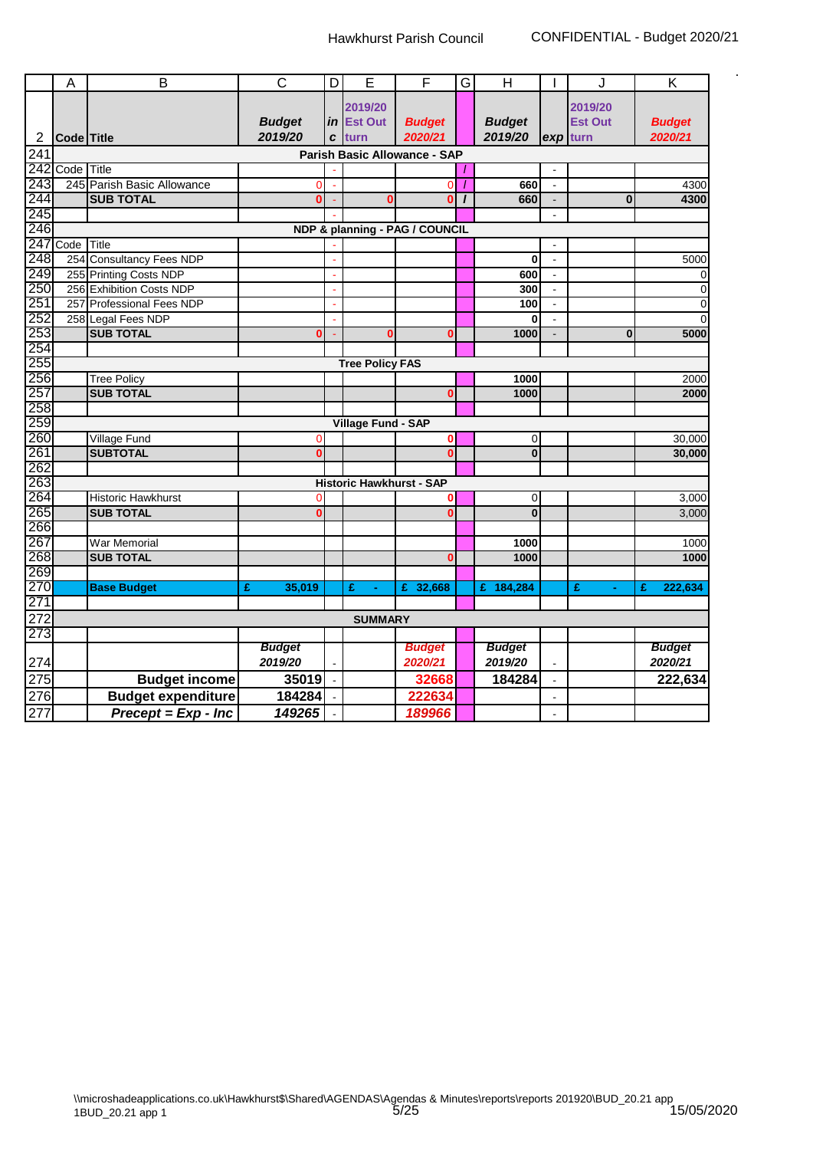|                  | A          | B                            | $\overline{\text{c}}$    | D | E                         | F                               | G        | $\overline{H}$           |                       | J.                  | Κ                        |
|------------------|------------|------------------------------|--------------------------|---|---------------------------|---------------------------------|----------|--------------------------|-----------------------|---------------------|--------------------------|
|                  |            |                              |                          |   | 2019/20                   |                                 |          |                          |                       | 2019/20             |                          |
|                  |            |                              | <b>Budget</b>            |   | <i>in</i> Est Out         | <b>Budget</b>                   |          | <b>Budget</b>            |                       | <b>Est Out</b>      | <b>Budget</b>            |
| 2                | Code Title |                              | 2019/20                  | C | turn                      | 2020/21                         |          | 2019/20                  | exp                   | turn                | 2020/21                  |
| 241              |            |                              |                          |   |                           | Parish Basic Allowance - SAP    |          |                          |                       |                     |                          |
|                  | 242 Code   | Title                        |                          |   |                           |                                 |          |                          |                       |                     |                          |
| 243              |            | 245 Parish Basic Allowance   | 0                        |   |                           | $\Omega$                        | 7        | 660                      |                       |                     | 4300                     |
| 244              |            | <b>SUB TOTAL</b>             | Ō                        |   | 0                         | $\bf{0}$                        | $\prime$ | 660                      | $\blacksquare$        | $\mathbf{0}$        | 4300                     |
| 245              |            |                              |                          |   |                           |                                 |          |                          | $\sim$                |                     |                          |
| 246              |            |                              |                          |   |                           | NDP & planning - PAG / COUNCIL  |          |                          |                       |                     |                          |
| 247              | Code       | Title                        |                          |   |                           |                                 |          |                          |                       |                     |                          |
| 248              |            | 254 Consultancy Fees NDP     |                          |   |                           |                                 |          | $\bf{0}$                 | $\blacksquare$        |                     | 5000                     |
| 249              |            | 255 Printing Costs NDP       |                          |   |                           |                                 |          | 600                      | $\sim$                |                     | $\mathbf 0$              |
| 250              |            | 256 Exhibition Costs NDP     |                          |   |                           |                                 |          | 300                      |                       |                     | $\pmb{0}$                |
| 251              | 257        | <b>Professional Fees NDP</b> |                          |   |                           |                                 |          | 100                      | $\blacksquare$        |                     | $\pmb{0}$                |
| 252              |            | 258 Legal Fees NDP           |                          |   |                           |                                 |          | $\bf{0}$                 | $\tilde{\phantom{a}}$ |                     | $\mathbf 0$              |
| 253              |            | <b>SUB TOTAL</b>             | 0                        |   |                           | 0                               |          | 1000                     |                       | $\bf{0}$            | 5000                     |
| 254              |            |                              |                          |   |                           |                                 |          |                          |                       |                     |                          |
| 255              |            |                              |                          |   | <b>Tree Policy FAS</b>    |                                 |          |                          |                       |                     |                          |
| 256              |            | <b>Tree Policy</b>           |                          |   |                           |                                 |          | 1000                     |                       |                     | 2000                     |
| 257              |            | <b>SUB TOTAL</b>             |                          |   |                           | $\bf{0}$                        |          | 1000                     |                       |                     | 2000                     |
| 258              |            |                              |                          |   |                           |                                 |          |                          |                       |                     |                          |
| 259              |            |                              |                          |   | <b>Village Fund - SAP</b> |                                 |          |                          |                       |                     |                          |
| 260              |            | <b>Village Fund</b>          | 0                        |   |                           | $\mathbf 0$                     |          | $\overline{0}$           |                       |                     | 30,000                   |
| 261              |            | <b>SUBTOTAL</b>              | $\overline{0}$           |   |                           | $\mathbf{0}$                    |          | $\mathbf{0}$             |                       |                     | 30,000                   |
| 262              |            |                              |                          |   |                           |                                 |          |                          |                       |                     |                          |
| 263              |            |                              |                          |   |                           | <b>Historic Hawkhurst - SAP</b> |          |                          |                       |                     |                          |
| 264              |            | Historic Hawkhurst           | 0                        |   |                           |                                 |          | $\overline{0}$           |                       |                     | 3,000                    |
| 265              |            | <b>SUB TOTAL</b>             | Ō                        |   |                           | $\Omega$                        |          | $\mathbf 0$              |                       |                     | 3,000                    |
| 266              |            |                              |                          |   |                           |                                 |          |                          |                       |                     |                          |
| 267              |            | <b>War Memorial</b>          |                          |   |                           |                                 |          | 1000                     |                       |                     | 1000                     |
| 268              |            | <b>SUB TOTAL</b>             |                          |   |                           | $\Omega$                        |          | 1000                     |                       |                     | 1000                     |
| 269              |            |                              |                          |   |                           |                                 |          |                          |                       |                     |                          |
| 270              |            | <b>Base Budget</b>           | 35,019<br>£              |   | £<br>$\blacksquare$       | 32,668<br>£                     |          | £ 184,284                |                       | £<br>$\blacksquare$ | 222,634<br>£             |
| 271              |            |                              |                          |   |                           |                                 |          |                          |                       |                     |                          |
| 272              |            |                              |                          |   | <b>SUMMARY</b>            |                                 |          |                          |                       |                     |                          |
| 273              |            |                              |                          |   |                           |                                 |          |                          |                       |                     |                          |
| 274              |            |                              | <b>Budget</b><br>2019/20 |   |                           | <b>Budget</b><br>2020/21        |          | <b>Budget</b><br>2019/20 |                       |                     | <b>Budget</b><br>2020/21 |
|                  |            |                              |                          |   |                           |                                 |          |                          |                       |                     |                          |
| $\overline{275}$ |            | <b>Budget income</b>         | 35019                    |   |                           | 32668                           |          | 184284                   |                       |                     | 222,634                  |
| 276              |            | <b>Budget expenditure</b>    | 184284                   |   |                           | 222634                          |          |                          |                       |                     |                          |
| 277              |            | $Precept = Exp - Inc$        | 149265                   |   |                           | 189966                          |          |                          |                       |                     |                          |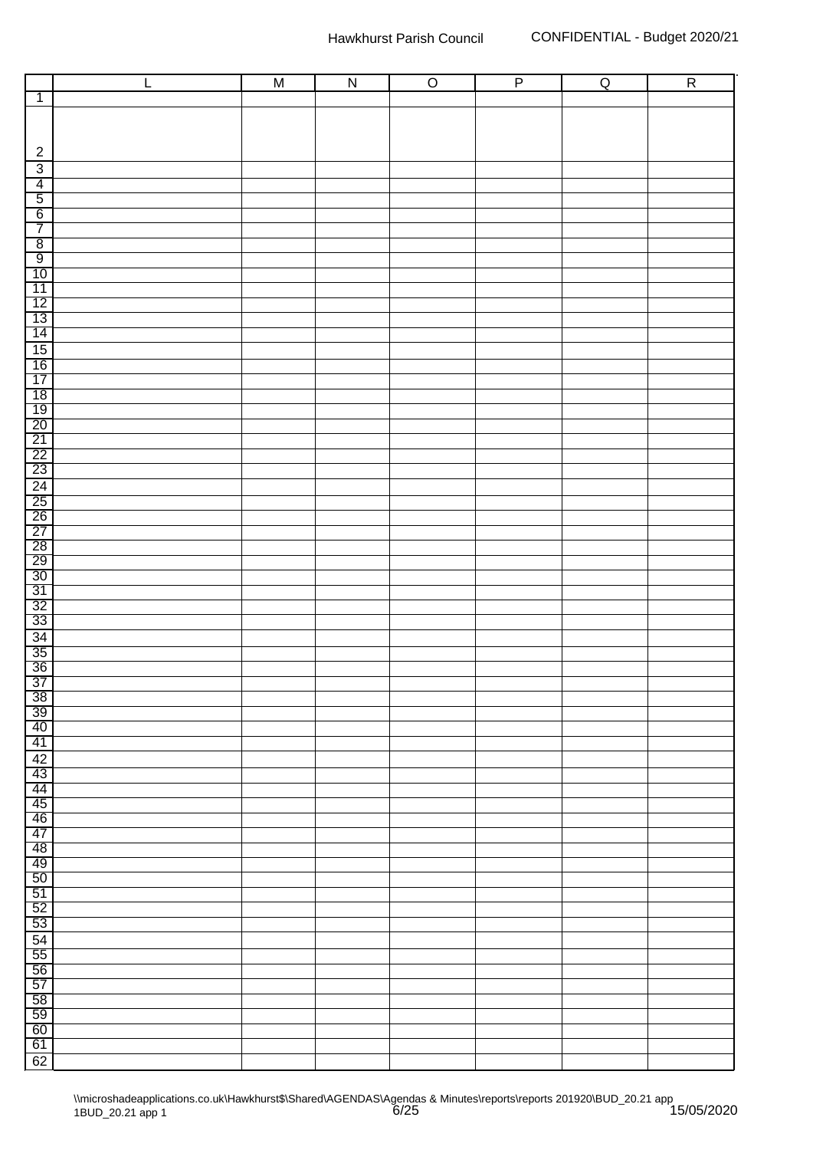|                                                                 | $\overline{L}$ | M | $\overline{N}$ | $\overline{O}$ | $\overline{P}$ | $\overline{Q}$ | $\overline{R}$ |
|-----------------------------------------------------------------|----------------|---|----------------|----------------|----------------|----------------|----------------|
| $\overline{1}$                                                  |                |   |                |                |                |                |                |
|                                                                 |                |   |                |                |                |                |                |
|                                                                 |                |   |                |                |                |                |                |
|                                                                 |                |   |                |                |                |                |                |
| $\sqrt{2}$                                                      |                |   |                |                |                |                |                |
| $\overline{3}$                                                  |                |   |                |                |                |                |                |
| $\overline{4}$                                                  |                |   |                |                |                |                |                |
| $\overline{5}$                                                  |                |   |                |                |                |                |                |
| 6                                                               |                |   |                |                |                |                |                |
| 7                                                               |                |   |                |                |                |                |                |
| $\overline{8}$                                                  |                |   |                |                |                |                |                |
| $\overline{9}$                                                  |                |   |                |                |                |                |                |
| 10                                                              |                |   |                |                |                |                |                |
| 11                                                              |                |   |                |                |                |                |                |
| $\frac{12}{13}$                                                 |                |   |                |                |                |                |                |
|                                                                 |                |   |                |                |                |                |                |
| 14                                                              |                |   |                |                |                |                |                |
| 15                                                              |                |   |                |                |                |                |                |
| $\overline{16}$                                                 |                |   |                |                |                |                |                |
| 17                                                              |                |   |                |                |                |                |                |
| 18                                                              |                |   |                |                |                |                |                |
| $\frac{19}{20}$                                                 |                |   |                |                |                |                |                |
|                                                                 |                |   |                |                |                |                |                |
|                                                                 |                |   |                |                |                |                |                |
| $\frac{21}{22}$<br>$\frac{22}{23}$                              |                |   |                |                |                |                |                |
|                                                                 |                |   |                |                |                |                |                |
|                                                                 |                |   |                |                |                |                |                |
|                                                                 |                |   |                |                |                |                |                |
| $\frac{24}{25}$ $\frac{25}{26}$ $\frac{27}{28}$ $\frac{28}{29}$ |                |   |                |                |                |                |                |
|                                                                 |                |   |                |                |                |                |                |
|                                                                 |                |   |                |                |                |                |                |
|                                                                 |                |   |                |                |                |                |                |
| $\overline{30}$                                                 |                |   |                |                |                |                |                |
| $\overline{31}$                                                 |                |   |                |                |                |                |                |
| $\frac{32}{33}$                                                 |                |   |                |                |                |                |                |
|                                                                 |                |   |                |                |                |                |                |
|                                                                 |                |   |                |                |                |                |                |
|                                                                 |                |   |                |                |                |                |                |
| $\frac{34}{35}$<br>$\frac{35}{36}$<br>$\frac{37}{38}$           |                |   |                |                |                |                |                |
|                                                                 |                |   |                |                |                |                |                |
|                                                                 |                |   |                |                |                |                |                |
| $\frac{39}{ }$                                                  |                |   |                |                |                |                |                |
| 40                                                              |                |   |                |                |                |                |                |
| 41                                                              |                |   |                |                |                |                |                |
| 42                                                              |                |   |                |                |                |                |                |
| 43                                                              |                |   |                |                |                |                |                |
| $\frac{44}{45}$                                                 |                |   |                |                |                |                |                |
|                                                                 |                |   |                |                |                |                |                |
| 46                                                              |                |   |                |                |                |                |                |
| 47                                                              |                |   |                |                |                |                |                |
| 48                                                              |                |   |                |                |                |                |                |
| 49                                                              |                |   |                |                |                |                |                |
| 50                                                              |                |   |                |                |                |                |                |
| 51                                                              |                |   |                |                |                |                |                |
| 52                                                              |                |   |                |                |                |                |                |
| 53                                                              |                |   |                |                |                |                |                |
| $\frac{54}{55}$                                                 |                |   |                |                |                |                |                |
|                                                                 |                |   |                |                |                |                |                |
| 56                                                              |                |   |                |                |                |                |                |
| 57                                                              |                |   |                |                |                |                |                |
| $\frac{58}{59}$                                                 |                |   |                |                |                |                |                |
|                                                                 |                |   |                |                |                |                |                |
| 60                                                              |                |   |                |                |                |                |                |
| 61                                                              |                |   |                |                |                |                |                |
| 62                                                              |                |   |                |                |                |                |                |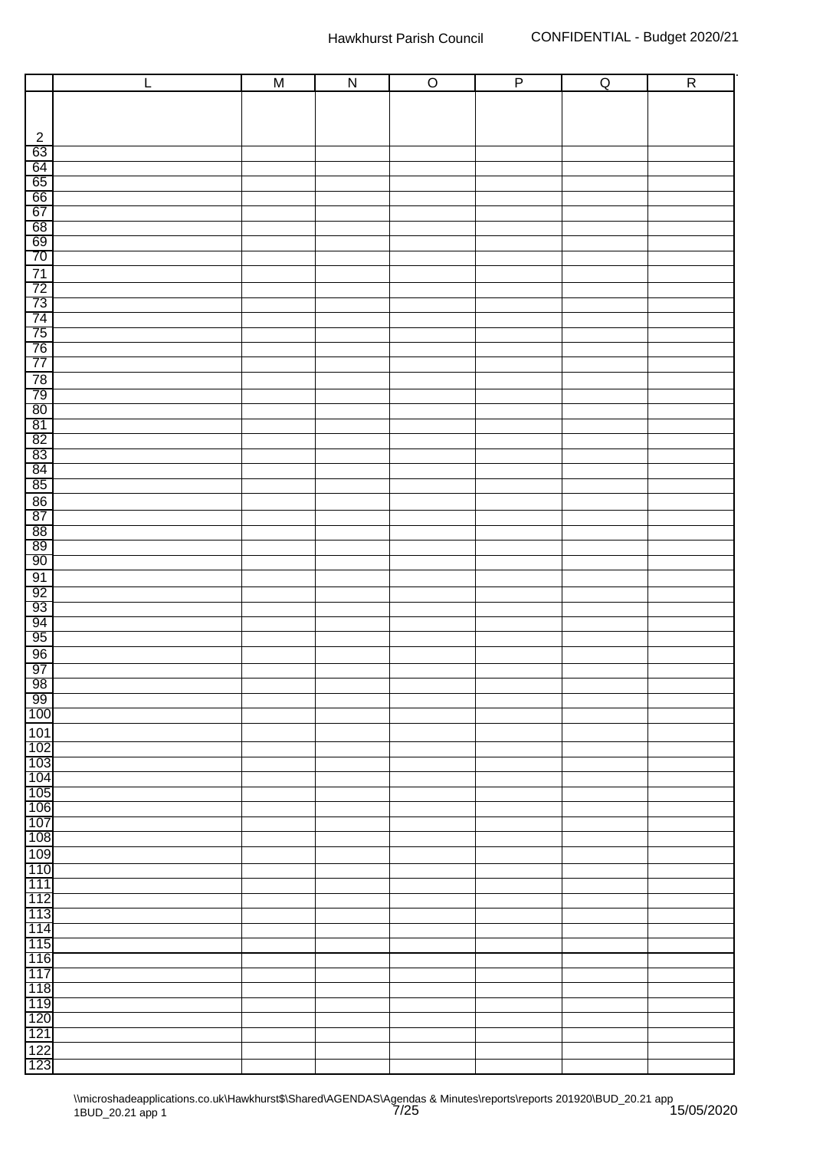|                                                                                         | L | $\overline{M}$ | $\overline{N}$ | $\overline{O}$ | $\overline{P}$ | $\overline{Q}$ | $\overline{R}$ |
|-----------------------------------------------------------------------------------------|---|----------------|----------------|----------------|----------------|----------------|----------------|
|                                                                                         |   |                |                |                |                |                |                |
|                                                                                         |   |                |                |                |                |                |                |
|                                                                                         |   |                |                |                |                |                |                |
| $\frac{2}{63}$                                                                          |   |                |                |                |                |                |                |
| 64                                                                                      |   |                |                |                |                |                |                |
|                                                                                         |   |                |                |                |                |                |                |
| $\frac{65}{66}$                                                                         |   |                |                |                |                |                |                |
|                                                                                         |   |                |                |                |                |                |                |
|                                                                                         |   |                |                |                |                |                |                |
|                                                                                         |   |                |                |                |                |                |                |
|                                                                                         |   |                |                |                |                |                |                |
|                                                                                         |   |                |                |                |                |                |                |
|                                                                                         |   |                |                |                |                |                |                |
|                                                                                         |   |                |                |                |                |                |                |
|                                                                                         |   |                |                |                |                |                |                |
|                                                                                         |   |                |                |                |                |                |                |
| 68<br>69<br>70<br>71<br>72<br>73<br>74<br>75<br>76<br>77                                |   |                |                |                |                |                |                |
| $\frac{78}{79}$<br>$\frac{79}{80}$<br>$\frac{81}{10}$                                   |   |                |                |                |                |                |                |
|                                                                                         |   |                |                |                |                |                |                |
|                                                                                         |   |                |                |                |                |                |                |
|                                                                                         |   |                |                |                |                |                |                |
|                                                                                         |   |                |                |                |                |                |                |
| $\begin{array}{r} 82 \\ 83 \\ 84 \\ \hline 85 \\ 86 \\ \hline 87 \\ \hline \end{array}$ |   |                |                |                |                |                |                |
|                                                                                         |   |                |                |                |                |                |                |
|                                                                                         |   |                |                |                |                |                |                |
|                                                                                         |   |                |                |                |                |                |                |
| $\begin{array}{c}\n 88 \\  89\n\end{array}$                                             |   |                |                |                |                |                |                |
|                                                                                         |   |                |                |                |                |                |                |
| 90                                                                                      |   |                |                |                |                |                |                |
| $\overline{91}$                                                                         |   |                |                |                |                |                |                |
| $\frac{92}{93}$                                                                         |   |                |                |                |                |                |                |
|                                                                                         |   |                |                |                |                |                |                |
| $\frac{94}{95}$                                                                         |   |                |                |                |                |                |                |
|                                                                                         |   |                |                |                |                |                |                |
| $\frac{96}{97}$                                                                         |   |                |                |                |                |                |                |
|                                                                                         |   |                |                |                |                |                |                |
| $\frac{98}{99}$                                                                         |   |                |                |                |                |                |                |
| 100                                                                                     |   |                |                |                |                |                |                |
| $\frac{101}{102}$                                                                       |   |                |                |                |                |                |                |
|                                                                                         |   |                |                |                |                |                |                |
| 103                                                                                     |   |                |                |                |                |                |                |
| 104<br>105                                                                              |   |                |                |                |                |                |                |
| 106                                                                                     |   |                |                |                |                |                |                |
| 107                                                                                     |   |                |                |                |                |                |                |
| 108                                                                                     |   |                |                |                |                |                |                |
| 109                                                                                     |   |                |                |                |                |                |                |
| 110                                                                                     |   |                |                |                |                |                |                |
| 111                                                                                     |   |                |                |                |                |                |                |
| 112                                                                                     |   |                |                |                |                |                |                |
| 113                                                                                     |   |                |                |                |                |                |                |
| 114<br>115                                                                              |   |                |                |                |                |                |                |
| 116                                                                                     |   |                |                |                |                |                |                |
| 117                                                                                     |   |                |                |                |                |                |                |
| 118                                                                                     |   |                |                |                |                |                |                |
| 119                                                                                     |   |                |                |                |                |                |                |
| 120                                                                                     |   |                |                |                |                |                |                |
| 121                                                                                     |   |                |                |                |                |                |                |
| $\frac{122}{123}$                                                                       |   |                |                |                |                |                |                |
|                                                                                         |   |                |                |                |                |                |                |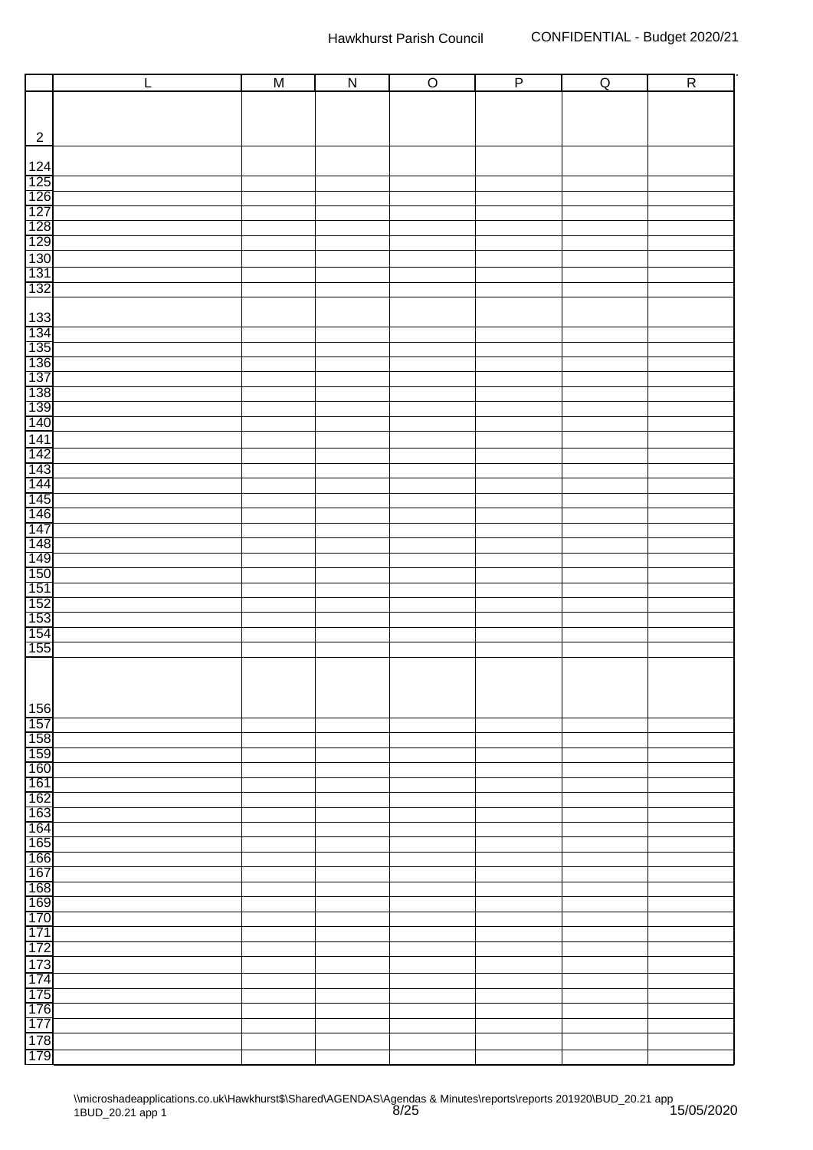|                                                                                         | $\mathsf{L}%$ | $\overline{M}$ | $\overline{N}$ | $\overline{O}$ | $\overline{P}$ | $\overline{Q}$ | $\overline{R}$ |
|-----------------------------------------------------------------------------------------|---------------|----------------|----------------|----------------|----------------|----------------|----------------|
|                                                                                         |               |                |                |                |                |                |                |
|                                                                                         |               |                |                |                |                |                |                |
| $\overline{2}$                                                                          |               |                |                |                |                |                |                |
|                                                                                         |               |                |                |                |                |                |                |
|                                                                                         |               |                |                |                |                |                |                |
|                                                                                         |               |                |                |                |                |                |                |
|                                                                                         |               |                |                |                |                |                |                |
|                                                                                         |               |                |                |                |                |                |                |
|                                                                                         |               |                |                |                |                |                |                |
| 124<br>125<br>126<br>127<br>129<br>130<br>130<br>131<br>132<br>132<br>                  |               |                |                |                |                |                |                |
|                                                                                         |               |                |                |                |                |                |                |
|                                                                                         |               |                |                |                |                |                |                |
|                                                                                         |               |                |                |                |                |                |                |
|                                                                                         |               |                |                |                |                |                |                |
|                                                                                         |               |                |                |                |                |                |                |
|                                                                                         |               |                |                |                |                |                |                |
| 133<br>134<br>135<br>136<br>137<br>138<br>139<br>140<br>140                             |               |                |                |                |                |                |                |
|                                                                                         |               |                |                |                |                |                |                |
|                                                                                         |               |                |                |                |                |                |                |
| 141                                                                                     |               |                |                |                |                |                |                |
|                                                                                         |               |                |                |                |                |                |                |
|                                                                                         |               |                |                |                |                |                |                |
|                                                                                         |               |                |                |                |                |                |                |
| 142<br>1443<br>1445<br>1445<br>1446<br>1447<br>1447<br>1547<br>155<br>155<br>155<br>155 |               |                |                |                |                |                |                |
|                                                                                         |               |                |                |                |                |                |                |
|                                                                                         |               |                |                |                |                |                |                |
|                                                                                         |               |                |                |                |                |                |                |
|                                                                                         |               |                |                |                |                |                |                |
|                                                                                         |               |                |                |                |                |                |                |
|                                                                                         |               |                |                |                |                |                |                |
|                                                                                         |               |                |                |                |                |                |                |
|                                                                                         |               |                |                |                |                |                |                |
|                                                                                         |               |                |                |                |                |                |                |
|                                                                                         |               |                |                |                |                |                |                |
|                                                                                         |               |                |                |                |                |                |                |
| $\frac{156}{157}$                                                                       |               |                |                |                |                |                |                |
| 158                                                                                     |               |                |                |                |                |                |                |
| 159                                                                                     |               |                |                |                |                |                |                |
| 160<br>161                                                                              |               |                |                |                |                |                |                |
| 162                                                                                     |               |                |                |                |                |                |                |
| 163                                                                                     |               |                |                |                |                |                |                |
| 164                                                                                     |               |                |                |                |                |                |                |
| 165<br>166                                                                              |               |                |                |                |                |                |                |
| 167                                                                                     |               |                |                |                |                |                |                |
| 168                                                                                     |               |                |                |                |                |                |                |
| 169                                                                                     |               |                |                |                |                |                |                |
| 170                                                                                     |               |                |                |                |                |                |                |
| 171                                                                                     |               |                |                |                |                |                |                |
| 172                                                                                     |               |                |                |                |                |                |                |
| 173<br>174                                                                              |               |                |                |                |                |                |                |
| 175                                                                                     |               |                |                |                |                |                |                |
| 176                                                                                     |               |                |                |                |                |                |                |
| 177                                                                                     |               |                |                |                |                |                |                |
| 178                                                                                     |               |                |                |                |                |                |                |
| 179                                                                                     |               |                |                |                |                |                |                |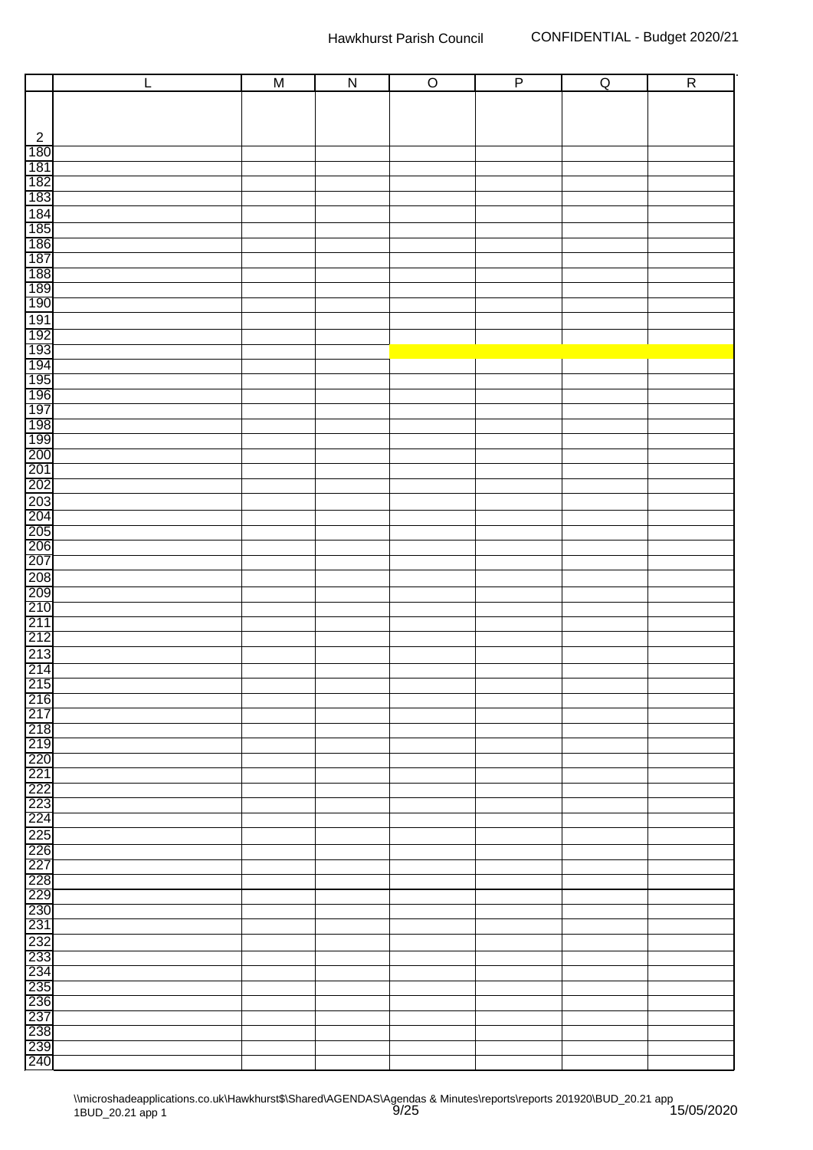|                                                                              | $\mathsf{L}%$ | $\overline{M}$ | $\overline{N}$ | $\overline{O}$ | $\overline{P}$ | $\overline{Q}$ | $\overline{R}$ |
|------------------------------------------------------------------------------|---------------|----------------|----------------|----------------|----------------|----------------|----------------|
|                                                                              |               |                |                |                |                |                |                |
|                                                                              |               |                |                |                |                |                |                |
|                                                                              |               |                |                |                |                |                |                |
|                                                                              |               |                |                |                |                |                |                |
| $\frac{2}{180}$<br>$\frac{180}{181}$                                         |               |                |                |                |                |                |                |
|                                                                              |               |                |                |                |                |                |                |
| 182<br>183                                                                   |               |                |                |                |                |                |                |
| $\frac{1}{184}$<br>$\frac{1}{185}$<br>$\frac{1}{187}$                        |               |                |                |                |                |                |                |
|                                                                              |               |                |                |                |                |                |                |
|                                                                              |               |                |                |                |                |                |                |
|                                                                              |               |                |                |                |                |                |                |
| 188<br>189<br>190                                                            |               |                |                |                |                |                |                |
|                                                                              |               |                |                |                |                |                |                |
|                                                                              |               |                |                |                |                |                |                |
|                                                                              |               |                |                |                |                |                |                |
|                                                                              |               |                |                |                |                |                |                |
|                                                                              |               |                |                |                |                |                |                |
|                                                                              |               |                |                |                |                |                |                |
| 1912<br>1923<br>1934<br>1935<br>1936<br>1936<br>2001<br>2001<br>2001<br>2002 |               |                |                |                |                |                |                |
|                                                                              |               |                |                |                |                |                |                |
|                                                                              |               |                |                |                |                |                |                |
|                                                                              |               |                |                |                |                |                |                |
|                                                                              |               |                |                |                |                |                |                |
|                                                                              |               |                |                |                |                |                |                |
|                                                                              |               |                |                |                |                |                |                |
|                                                                              |               |                |                |                |                |                |                |
| 203<br>204<br>205<br>206<br>207                                              |               |                |                |                |                |                |                |
|                                                                              |               |                |                |                |                |                |                |
|                                                                              |               |                |                |                |                |                |                |
| 208<br>209<br>210<br>211<br>212                                              |               |                |                |                |                |                |                |
|                                                                              |               |                |                |                |                |                |                |
|                                                                              |               |                |                |                |                |                |                |
|                                                                              |               |                |                |                |                |                |                |
| $\frac{213}{214}$                                                            |               |                |                |                |                |                |                |
|                                                                              |               |                |                |                |                |                |                |
| 215<br>216                                                                   |               |                |                |                |                |                |                |
|                                                                              |               |                |                |                |                |                |                |
| 217<br>218<br>219<br>220<br>221                                              |               |                |                |                |                |                |                |
|                                                                              |               |                |                |                |                |                |                |
|                                                                              |               |                |                |                |                |                |                |
|                                                                              |               |                |                |                |                |                |                |
| 222<br>223                                                                   |               |                |                |                |                |                |                |
| 224                                                                          |               |                |                |                |                |                |                |
|                                                                              |               |                |                |                |                |                |                |
| 225<br>226                                                                   |               |                |                |                |                |                |                |
| 227                                                                          |               |                |                |                |                |                |                |
| $\frac{1}{228}$<br>$\frac{229}{230}$                                         |               |                |                |                |                |                |                |
|                                                                              |               |                |                |                |                |                |                |
|                                                                              |               |                |                |                |                |                |                |
| 231                                                                          |               |                |                |                |                |                |                |
| 232<br>233                                                                   |               |                |                |                |                |                |                |
| 234                                                                          |               |                |                |                |                |                |                |
| 235                                                                          |               |                |                |                |                |                |                |
|                                                                              |               |                |                |                |                |                |                |
| 236<br>237                                                                   |               |                |                |                |                |                |                |
| 238<br>239                                                                   |               |                |                |                |                |                |                |
|                                                                              |               |                |                |                |                |                |                |
| 240                                                                          |               |                |                |                |                |                |                |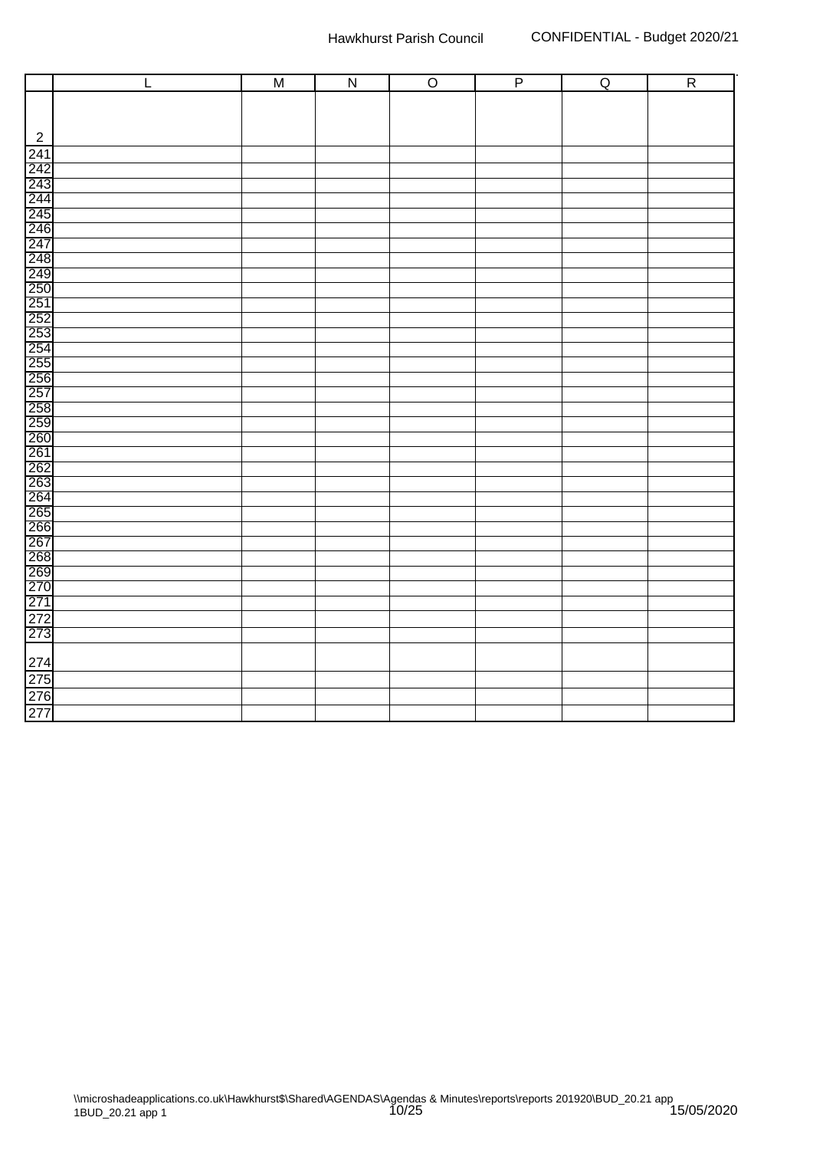| $\mathsf L$                                                         | $\overline{M}$ | $\overline{N}$ | $\overline{O}$ | $\overline{P}$ | Q | $\overline{R}$ |
|---------------------------------------------------------------------|----------------|----------------|----------------|----------------|---|----------------|
|                                                                     |                |                |                |                |   |                |
|                                                                     |                |                |                |                |   |                |
| $\boldsymbol{2}$                                                    |                |                |                |                |   |                |
| 241                                                                 |                |                |                |                |   |                |
| 242<br>243<br>244<br>245<br>246<br>247                              |                |                |                |                |   |                |
|                                                                     |                |                |                |                |   |                |
|                                                                     |                |                |                |                |   |                |
|                                                                     |                |                |                |                |   |                |
|                                                                     |                |                |                |                |   |                |
|                                                                     |                |                |                |                |   |                |
|                                                                     |                |                |                |                |   |                |
| 248<br>249<br>250 250 250 250 250 250 250<br>260 260 27 260 260 260 |                |                |                |                |   |                |
|                                                                     |                |                |                |                |   |                |
|                                                                     |                |                |                |                |   |                |
|                                                                     |                |                |                |                |   |                |
|                                                                     |                |                |                |                |   |                |
|                                                                     |                |                |                |                |   |                |
|                                                                     |                |                |                |                |   |                |
|                                                                     |                |                |                |                |   |                |
|                                                                     |                |                |                |                |   |                |
|                                                                     |                |                |                |                |   |                |
|                                                                     |                |                |                |                |   |                |
|                                                                     |                |                |                |                |   |                |
|                                                                     |                |                |                |                |   |                |
| 261<br>262<br>263<br>264<br>265<br>265                              |                |                |                |                |   |                |
|                                                                     |                |                |                |                |   |                |
|                                                                     |                |                |                |                |   |                |
|                                                                     |                |                |                |                |   |                |
|                                                                     |                |                |                |                |   |                |
|                                                                     |                |                |                |                |   |                |
| 266<br>267<br>268<br>269<br>270<br>271<br>271                       |                |                |                |                |   |                |
|                                                                     |                |                |                |                |   |                |
| $\frac{272}{273}$                                                   |                |                |                |                |   |                |
|                                                                     |                |                |                |                |   |                |
| 274<br>275                                                          |                |                |                |                |   |                |
|                                                                     |                |                |                |                |   |                |
|                                                                     |                |                |                |                |   |                |
| 276<br>277                                                          |                |                |                |                |   |                |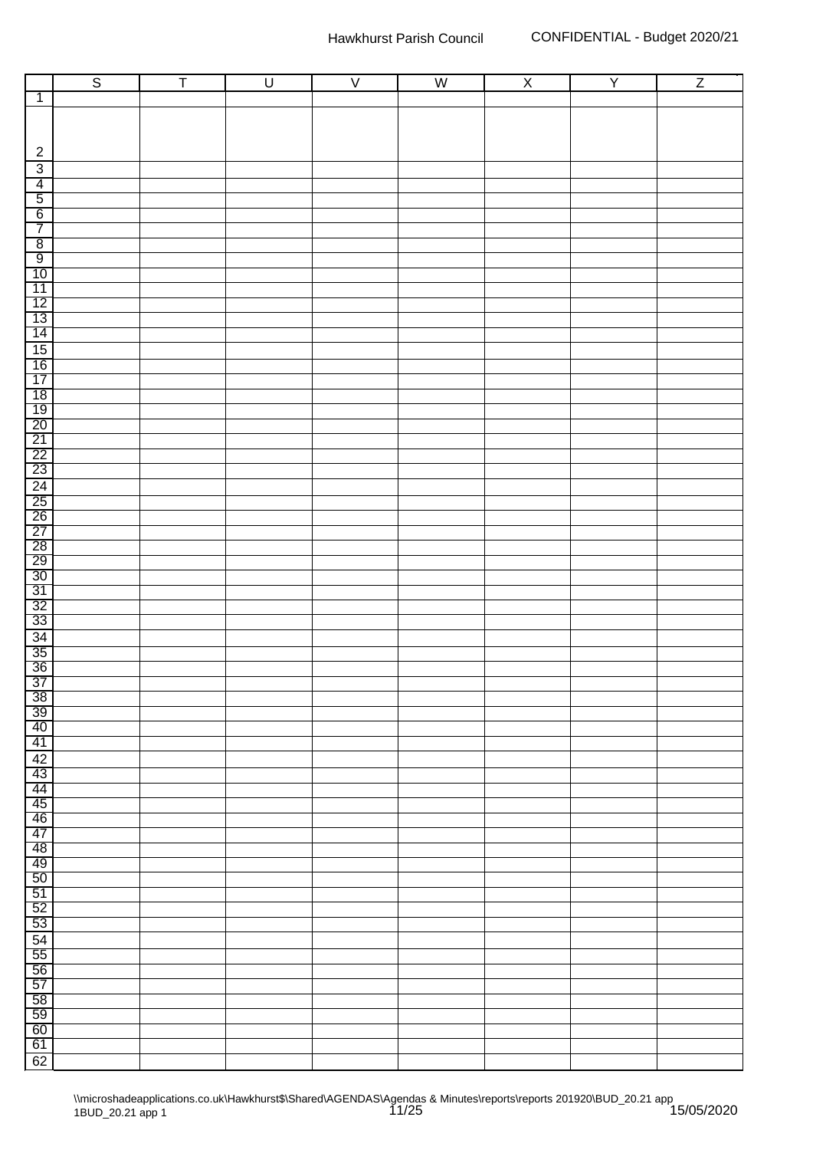|                                                                                                                       | $\overline{\mathbf{S}}$ | $\overline{\mathsf{T}}$ | $\overline{U}$ | $\overline{V}$ | $\overline{\mathsf{W}}$ | $\overline{\mathsf{X}}$ | $\overline{Y}$ | $\overline{Z}$ |
|-----------------------------------------------------------------------------------------------------------------------|-------------------------|-------------------------|----------------|----------------|-------------------------|-------------------------|----------------|----------------|
| $\overline{1}$                                                                                                        |                         |                         |                |                |                         |                         |                |                |
|                                                                                                                       |                         |                         |                |                |                         |                         |                |                |
|                                                                                                                       |                         |                         |                |                |                         |                         |                |                |
|                                                                                                                       |                         |                         |                |                |                         |                         |                |                |
| $\sqrt{2}$                                                                                                            |                         |                         |                |                |                         |                         |                |                |
| $\overline{3}$<br>$\overline{4}$                                                                                      |                         |                         |                |                |                         |                         |                |                |
| $\overline{5}$                                                                                                        |                         |                         |                |                |                         |                         |                |                |
| 6                                                                                                                     |                         |                         |                |                |                         |                         |                |                |
| $\overline{7}$                                                                                                        |                         |                         |                |                |                         |                         |                |                |
| $\overline{8}$                                                                                                        |                         |                         |                |                |                         |                         |                |                |
| $\overline{9}$                                                                                                        |                         |                         |                |                |                         |                         |                |                |
| 10                                                                                                                    |                         |                         |                |                |                         |                         |                |                |
| 11                                                                                                                    |                         |                         |                |                |                         |                         |                |                |
| $\frac{12}{13}$                                                                                                       |                         |                         |                |                |                         |                         |                |                |
|                                                                                                                       |                         |                         |                |                |                         |                         |                |                |
|                                                                                                                       |                         |                         |                |                |                         |                         |                |                |
| $\frac{15}{16}$                                                                                                       |                         |                         |                |                |                         |                         |                |                |
| 17                                                                                                                    |                         |                         |                |                |                         |                         |                |                |
|                                                                                                                       |                         |                         |                |                |                         |                         |                |                |
| $\frac{18}{19}$                                                                                                       |                         |                         |                |                |                         |                         |                |                |
|                                                                                                                       |                         |                         |                |                |                         |                         |                |                |
| $\frac{21}{22}$<br>$\frac{22}{23}$                                                                                    |                         |                         |                |                |                         |                         |                |                |
|                                                                                                                       |                         |                         |                |                |                         |                         |                |                |
|                                                                                                                       |                         |                         |                |                |                         |                         |                |                |
| $\begin{array}{r} \hline 24 \\ \hline 25 \\ \hline 26 \\ \hline 27 \end{array}$                                       |                         |                         |                |                |                         |                         |                |                |
|                                                                                                                       |                         |                         |                |                |                         |                         |                |                |
|                                                                                                                       |                         |                         |                |                |                         |                         |                |                |
|                                                                                                                       |                         |                         |                |                |                         |                         |                |                |
| $\begin{array}{r}\n 28 \\  \hline\n 29 \\  \hline\n 30 \\  \hline\n 31 \\  \hline\n 32 \\  \hline\n 33\n \end{array}$ |                         |                         |                |                |                         |                         |                |                |
|                                                                                                                       |                         |                         |                |                |                         |                         |                |                |
|                                                                                                                       |                         |                         |                |                |                         |                         |                |                |
|                                                                                                                       |                         |                         |                |                |                         |                         |                |                |
|                                                                                                                       |                         |                         |                |                |                         |                         |                |                |
| $\frac{34}{35}$ $\frac{36}{36}$                                                                                       |                         |                         |                |                |                         |                         |                |                |
|                                                                                                                       |                         |                         |                |                |                         |                         |                |                |
|                                                                                                                       |                         |                         |                |                |                         |                         |                |                |
| $\frac{37}{38}$                                                                                                       |                         |                         |                |                |                         |                         |                |                |
| 39                                                                                                                    |                         |                         |                |                |                         |                         |                |                |
| 40                                                                                                                    |                         |                         |                |                |                         |                         |                |                |
| 41                                                                                                                    |                         |                         |                |                |                         |                         |                |                |
| 42                                                                                                                    |                         |                         |                |                |                         |                         |                |                |
| 43<br>44                                                                                                              |                         |                         |                |                |                         |                         |                |                |
| 45                                                                                                                    |                         |                         |                |                |                         |                         |                |                |
| 46                                                                                                                    |                         |                         |                |                |                         |                         |                |                |
| 47                                                                                                                    |                         |                         |                |                |                         |                         |                |                |
| 48                                                                                                                    |                         |                         |                |                |                         |                         |                |                |
| 49                                                                                                                    |                         |                         |                |                |                         |                         |                |                |
| 50                                                                                                                    |                         |                         |                |                |                         |                         |                |                |
| 51                                                                                                                    |                         |                         |                |                |                         |                         |                |                |
| 52                                                                                                                    |                         |                         |                |                |                         |                         |                |                |
| 53                                                                                                                    |                         |                         |                |                |                         |                         |                |                |
| $\frac{54}{55}$                                                                                                       |                         |                         |                |                |                         |                         |                |                |
| $\overline{56}$                                                                                                       |                         |                         |                |                |                         |                         |                |                |
| 57                                                                                                                    |                         |                         |                |                |                         |                         |                |                |
| $\overline{58}$                                                                                                       |                         |                         |                |                |                         |                         |                |                |
| 59                                                                                                                    |                         |                         |                |                |                         |                         |                |                |
| 60                                                                                                                    |                         |                         |                |                |                         |                         |                |                |
| 61                                                                                                                    |                         |                         |                |                |                         |                         |                |                |
| 62                                                                                                                    |                         |                         |                |                |                         |                         |                |                |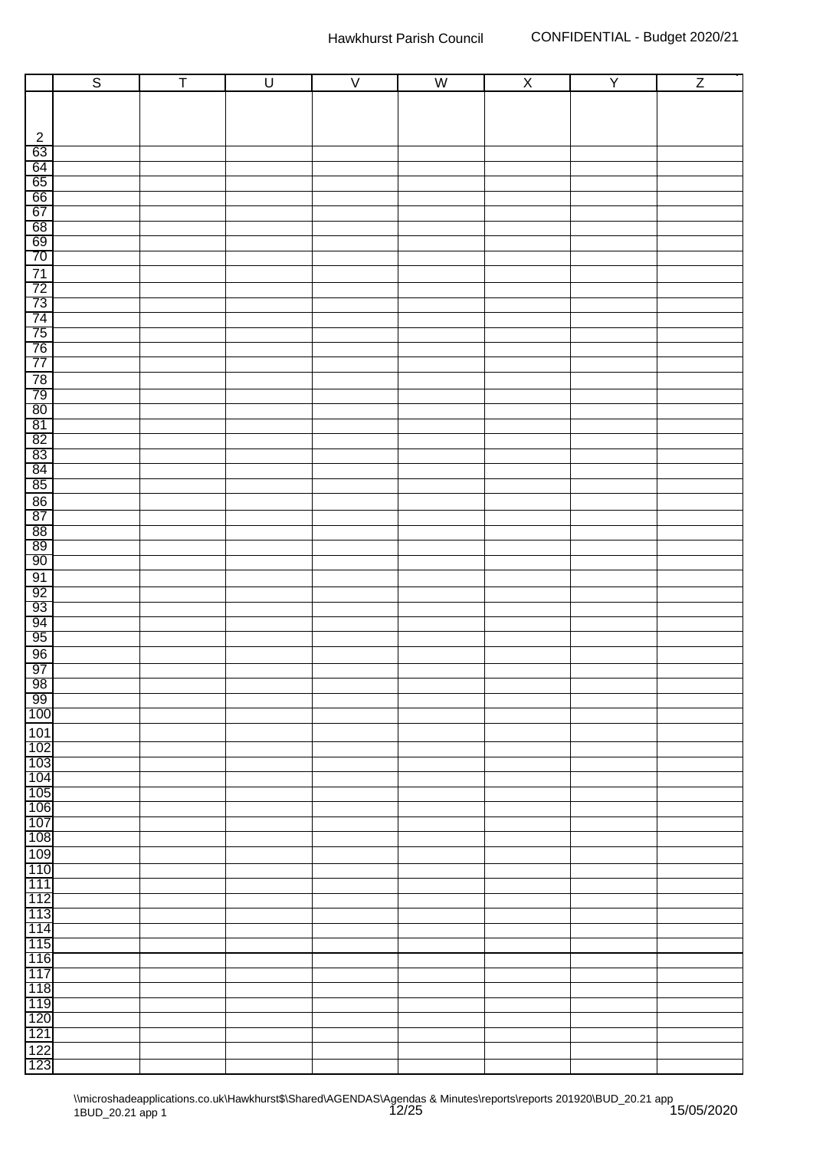|                                                                        | $\overline{\mathbf{S}}$ | Ŧ | $\overline{U}$ | $\overline{\vee}$ | $\overline{\mathsf{W}}$ | $\overline{\mathsf{X}}$ | $\overline{Y}$ | $\overline{Z}$ |
|------------------------------------------------------------------------|-------------------------|---|----------------|-------------------|-------------------------|-------------------------|----------------|----------------|
|                                                                        |                         |   |                |                   |                         |                         |                |                |
|                                                                        |                         |   |                |                   |                         |                         |                |                |
|                                                                        |                         |   |                |                   |                         |                         |                |                |
| $\overline{2}$                                                         |                         |   |                |                   |                         |                         |                |                |
| 63                                                                     |                         |   |                |                   |                         |                         |                |                |
| 64                                                                     |                         |   |                |                   |                         |                         |                |                |
| $\frac{65}{66}$                                                        |                         |   |                |                   |                         |                         |                |                |
| 67                                                                     |                         |   |                |                   |                         |                         |                |                |
| 68                                                                     |                         |   |                |                   |                         |                         |                |                |
|                                                                        |                         |   |                |                   |                         |                         |                |                |
| $\frac{69}{70}$                                                        |                         |   |                |                   |                         |                         |                |                |
|                                                                        |                         |   |                |                   |                         |                         |                |                |
|                                                                        |                         |   |                |                   |                         |                         |                |                |
| $\frac{71}{72}$ $\frac{73}{74}$ $\frac{74}{75}$ $\frac{76}{77}$        |                         |   |                |                   |                         |                         |                |                |
|                                                                        |                         |   |                |                   |                         |                         |                |                |
|                                                                        |                         |   |                |                   |                         |                         |                |                |
|                                                                        |                         |   |                |                   |                         |                         |                |                |
|                                                                        |                         |   |                |                   |                         |                         |                |                |
| 78<br>79                                                               |                         |   |                |                   |                         |                         |                |                |
| 80                                                                     |                         |   |                |                   |                         |                         |                |                |
| 81                                                                     |                         |   |                |                   |                         |                         |                |                |
| 82                                                                     |                         |   |                |                   |                         |                         |                |                |
| $\begin{array}{r} \n 83 \\  \hline\n 84 \\  \hline\n 85\n \end{array}$ |                         |   |                |                   |                         |                         |                |                |
|                                                                        |                         |   |                |                   |                         |                         |                |                |
|                                                                        |                         |   |                |                   |                         |                         |                |                |
| 86                                                                     |                         |   |                |                   |                         |                         |                |                |
| 87                                                                     |                         |   |                |                   |                         |                         |                |                |
| $\frac{88}{89}$                                                        |                         |   |                |                   |                         |                         |                |                |
|                                                                        |                         |   |                |                   |                         |                         |                |                |
| 90                                                                     |                         |   |                |                   |                         |                         |                |                |
| 91                                                                     |                         |   |                |                   |                         |                         |                |                |
| $\frac{92}{93}$                                                        |                         |   |                |                   |                         |                         |                |                |
| 94                                                                     |                         |   |                |                   |                         |                         |                |                |
| 95                                                                     |                         |   |                |                   |                         |                         |                |                |
| 96                                                                     |                         |   |                |                   |                         |                         |                |                |
| 97                                                                     |                         |   |                |                   |                         |                         |                |                |
|                                                                        |                         |   |                |                   |                         |                         |                |                |
| $\frac{98}{99}$                                                        |                         |   |                |                   |                         |                         |                |                |
| 100                                                                    |                         |   |                |                   |                         |                         |                |                |
| 101                                                                    |                         |   |                |                   |                         |                         |                |                |
| 102                                                                    |                         |   |                |                   |                         |                         |                |                |
| 103                                                                    |                         |   |                |                   |                         |                         |                |                |
| 104                                                                    |                         |   |                |                   |                         |                         |                |                |
| 105<br>106                                                             |                         |   |                |                   |                         |                         |                |                |
| 107                                                                    |                         |   |                |                   |                         |                         |                |                |
| 108                                                                    |                         |   |                |                   |                         |                         |                |                |
| 109                                                                    |                         |   |                |                   |                         |                         |                |                |
| 110                                                                    |                         |   |                |                   |                         |                         |                |                |
| 111                                                                    |                         |   |                |                   |                         |                         |                |                |
| 112                                                                    |                         |   |                |                   |                         |                         |                |                |
| 113                                                                    |                         |   |                |                   |                         |                         |                |                |
| 114                                                                    |                         |   |                |                   |                         |                         |                |                |
| 115                                                                    |                         |   |                |                   |                         |                         |                |                |
| 116                                                                    |                         |   |                |                   |                         |                         |                |                |
| 117<br>118                                                             |                         |   |                |                   |                         |                         |                |                |
| 119                                                                    |                         |   |                |                   |                         |                         |                |                |
| 120                                                                    |                         |   |                |                   |                         |                         |                |                |
| 121                                                                    |                         |   |                |                   |                         |                         |                |                |
|                                                                        |                         |   |                |                   |                         |                         |                |                |
| $\frac{122}{123}$                                                      |                         |   |                |                   |                         |                         |                |                |
|                                                                        |                         |   |                |                   |                         |                         |                |                |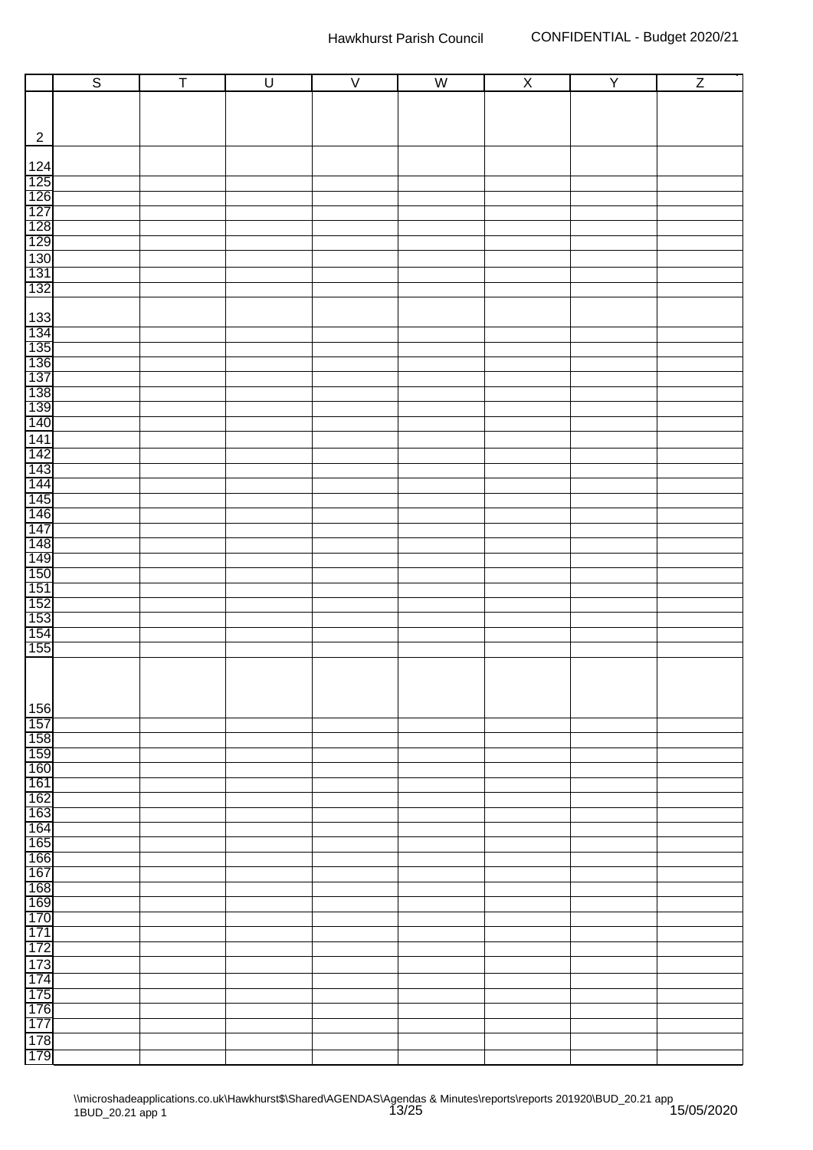|                                                                    | $\overline{s}$ | Ŧ | $\overline{U}$ | $\overline{\vee}$ | $\overline{W}$ | $\overline{X}$ | $\overline{Y}$ | $\overline{Z}$ |
|--------------------------------------------------------------------|----------------|---|----------------|-------------------|----------------|----------------|----------------|----------------|
|                                                                    |                |   |                |                   |                |                |                |                |
|                                                                    |                |   |                |                   |                |                |                |                |
| $\overline{2}$                                                     |                |   |                |                   |                |                |                |                |
|                                                                    |                |   |                |                   |                |                |                |                |
|                                                                    |                |   |                |                   |                |                |                |                |
| 124<br>125<br>126<br>127<br>128<br>139<br>130<br>131<br>132<br>132 |                |   |                |                   |                |                |                |                |
|                                                                    |                |   |                |                   |                |                |                |                |
|                                                                    |                |   |                |                   |                |                |                |                |
|                                                                    |                |   |                |                   |                |                |                |                |
|                                                                    |                |   |                |                   |                |                |                |                |
|                                                                    |                |   |                |                   |                |                |                |                |
|                                                                    |                |   |                |                   |                |                |                |                |
|                                                                    |                |   |                |                   |                |                |                |                |
|                                                                    |                |   |                |                   |                |                |                |                |
| 133<br>134<br>135<br>136                                           |                |   |                |                   |                |                |                |                |
|                                                                    |                |   |                |                   |                |                |                |                |
| 137                                                                |                |   |                |                   |                |                |                |                |
| 138<br>139<br>140                                                  |                |   |                |                   |                |                |                |                |
|                                                                    |                |   |                |                   |                |                |                |                |
| 141                                                                |                |   |                |                   |                |                |                |                |
| 142<br>143<br>144<br>145<br>146<br>147                             |                |   |                |                   |                |                |                |                |
|                                                                    |                |   |                |                   |                |                |                |                |
|                                                                    |                |   |                |                   |                |                |                |                |
|                                                                    |                |   |                |                   |                |                |                |                |
|                                                                    |                |   |                |                   |                |                |                |                |
|                                                                    |                |   |                |                   |                |                |                |                |
|                                                                    |                |   |                |                   |                |                |                |                |
| 148<br>149<br>150<br>150<br>152<br>153<br>154<br>155<br>155        |                |   |                |                   |                |                |                |                |
|                                                                    |                |   |                |                   |                |                |                |                |
|                                                                    |                |   |                |                   |                |                |                |                |
|                                                                    |                |   |                |                   |                |                |                |                |
|                                                                    |                |   |                |                   |                |                |                |                |
|                                                                    |                |   |                |                   |                |                |                |                |
|                                                                    |                |   |                |                   |                |                |                |                |
| 156                                                                |                |   |                |                   |                |                |                |                |
| 157                                                                |                |   |                |                   |                |                |                |                |
| 158<br>159                                                         |                |   |                |                   |                |                |                |                |
| 160                                                                |                |   |                |                   |                |                |                |                |
| 161                                                                |                |   |                |                   |                |                |                |                |
| 162                                                                |                |   |                |                   |                |                |                |                |
| 163<br>164                                                         |                |   |                |                   |                |                |                |                |
| 165                                                                |                |   |                |                   |                |                |                |                |
| 166                                                                |                |   |                |                   |                |                |                |                |
| 167                                                                |                |   |                |                   |                |                |                |                |
| 168                                                                |                |   |                |                   |                |                |                |                |
| 169<br>170                                                         |                |   |                |                   |                |                |                |                |
| 171                                                                |                |   |                |                   |                |                |                |                |
| 172                                                                |                |   |                |                   |                |                |                |                |
| 173                                                                |                |   |                |                   |                |                |                |                |
| 174                                                                |                |   |                |                   |                |                |                |                |
| 175                                                                |                |   |                |                   |                |                |                |                |
| 176<br>177                                                         |                |   |                |                   |                |                |                |                |
| 178                                                                |                |   |                |                   |                |                |                |                |
| 179                                                                |                |   |                |                   |                |                |                |                |
|                                                                    |                |   |                |                   |                |                |                |                |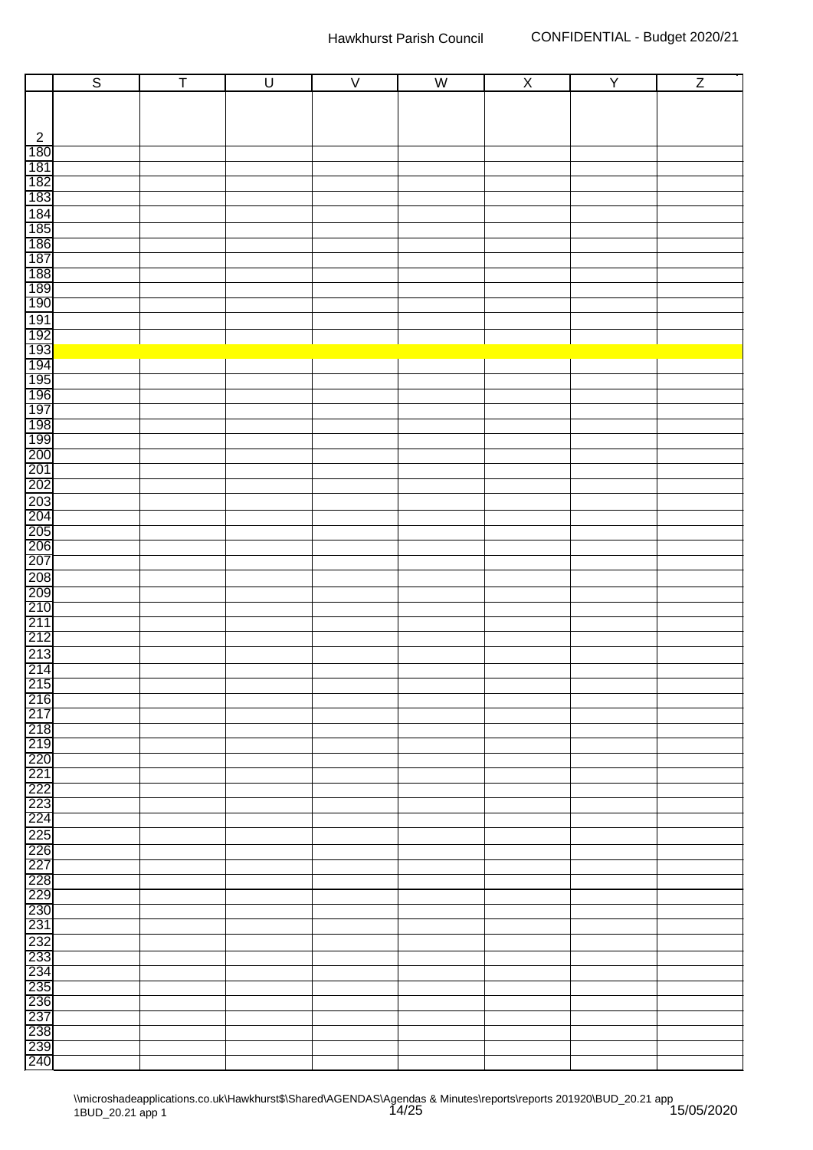|                                 | $\overline{s}$ | $\overline{\mathsf{T}}$ | $\overline{U}$ | $\overline{V}$ | $\overline{\mathsf{W}}$ | $\overline{X}$ | $\overline{Y}$ | $\overline{Z}$ |
|---------------------------------|----------------|-------------------------|----------------|----------------|-------------------------|----------------|----------------|----------------|
|                                 |                |                         |                |                |                         |                |                |                |
|                                 |                |                         |                |                |                         |                |                |                |
|                                 |                |                         |                |                |                         |                |                |                |
| $\overline{c}$<br>180           |                |                         |                |                |                         |                |                |                |
| 181                             |                |                         |                |                |                         |                |                |                |
|                                 |                |                         |                |                |                         |                |                |                |
| 182<br>183                      |                |                         |                |                |                         |                |                |                |
|                                 |                |                         |                |                |                         |                |                |                |
| 184<br>185<br>186<br>187        |                |                         |                |                |                         |                |                |                |
|                                 |                |                         |                |                |                         |                |                |                |
|                                 |                |                         |                |                |                         |                |                |                |
| 188<br>189<br>190               |                |                         |                |                |                         |                |                |                |
|                                 |                |                         |                |                |                         |                |                |                |
|                                 |                |                         |                |                |                         |                |                |                |
|                                 |                |                         |                |                |                         |                |                |                |
|                                 |                |                         |                |                |                         |                |                |                |
|                                 |                |                         |                |                |                         |                |                |                |
|                                 |                |                         |                |                |                         |                |                |                |
|                                 |                |                         |                |                |                         |                |                |                |
|                                 |                |                         |                |                |                         |                |                |                |
|                                 |                |                         |                |                |                         |                |                |                |
|                                 |                |                         |                |                |                         |                |                |                |
|                                 |                |                         |                |                |                         |                |                |                |
| 202                             |                |                         |                |                |                         |                |                |                |
|                                 |                |                         |                |                |                         |                |                |                |
| 203<br>204<br>205<br>206<br>207 |                |                         |                |                |                         |                |                |                |
|                                 |                |                         |                |                |                         |                |                |                |
|                                 |                |                         |                |                |                         |                |                |                |
| 208                             |                |                         |                |                |                         |                |                |                |
| 209<br>210<br>211<br>212        |                |                         |                |                |                         |                |                |                |
|                                 |                |                         |                |                |                         |                |                |                |
|                                 |                |                         |                |                |                         |                |                |                |
|                                 |                |                         |                |                |                         |                |                |                |
| $\frac{213}{214}$               |                |                         |                |                |                         |                |                |                |
|                                 |                |                         |                |                |                         |                |                |                |
| 215<br>216                      |                |                         |                |                |                         |                |                |                |
| 217                             |                |                         |                |                |                         |                |                |                |
| $\frac{218}{219}$               |                |                         |                |                |                         |                |                |                |
|                                 |                |                         |                |                |                         |                |                |                |
| 220                             |                |                         |                |                |                         |                |                |                |
|                                 |                |                         |                |                |                         |                |                |                |
| $\frac{227}{222}$<br>222        |                |                         |                |                |                         |                |                |                |
| 224                             |                |                         |                |                |                         |                |                |                |
| 225<br>226                      |                |                         |                |                |                         |                |                |                |
|                                 |                |                         |                |                |                         |                |                |                |
| 227                             |                |                         |                |                |                         |                |                |                |
|                                 |                |                         |                |                |                         |                |                |                |
| 228<br>229<br>230               |                |                         |                |                |                         |                |                |                |
| 231                             |                |                         |                |                |                         |                |                |                |
|                                 |                |                         |                |                |                         |                |                |                |
| 232<br>233                      |                |                         |                |                |                         |                |                |                |
| 234                             |                |                         |                |                |                         |                |                |                |
| 235                             |                |                         |                |                |                         |                |                |                |
| 236<br>237                      |                |                         |                |                |                         |                |                |                |
|                                 |                |                         |                |                |                         |                |                |                |
| 238<br>239                      |                |                         |                |                |                         |                |                |                |
| 240                             |                |                         |                |                |                         |                |                |                |
|                                 |                |                         |                |                |                         |                |                |                |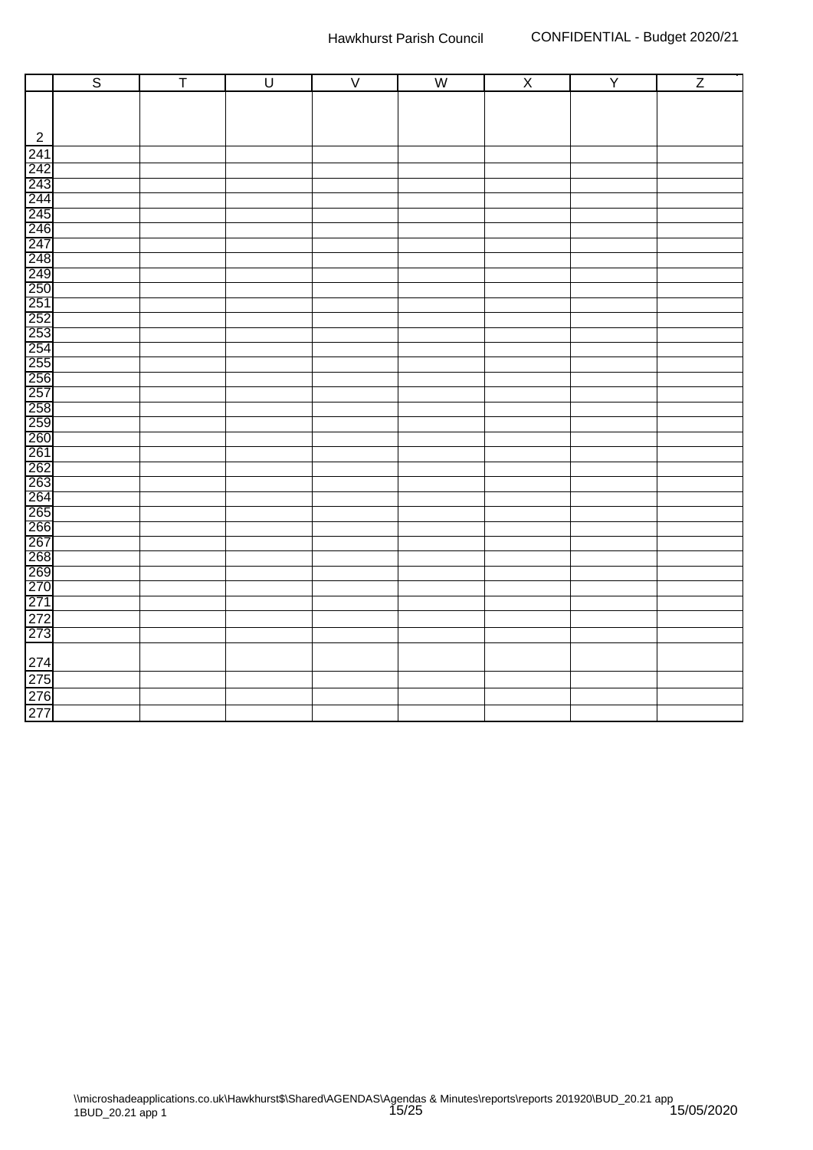|                          | $\overline{\mathsf{s}}$ | $\overline{\mathsf{T}}$ | $\overline{\mathsf{U}}$ | $\overline{\vee}$ | W | $\overline{\mathsf{X}}$ | $\overline{Y}$ | $\overline{z}$ |
|--------------------------|-------------------------|-------------------------|-------------------------|-------------------|---|-------------------------|----------------|----------------|
|                          |                         |                         |                         |                   |   |                         |                |                |
|                          |                         |                         |                         |                   |   |                         |                |                |
| $\overline{c}$           |                         |                         |                         |                   |   |                         |                |                |
|                          |                         |                         |                         |                   |   |                         |                |                |
|                          |                         |                         |                         |                   |   |                         |                |                |
|                          |                         |                         |                         |                   |   |                         |                |                |
|                          |                         |                         |                         |                   |   |                         |                |                |
|                          |                         |                         |                         |                   |   |                         |                |                |
|                          |                         |                         |                         |                   |   |                         |                |                |
|                          |                         |                         |                         |                   |   |                         |                |                |
|                          |                         |                         |                         |                   |   |                         |                |                |
|                          |                         |                         |                         |                   |   |                         |                |                |
|                          |                         |                         |                         |                   |   |                         |                |                |
|                          |                         |                         |                         |                   |   |                         |                |                |
|                          |                         |                         |                         |                   |   |                         |                |                |
|                          |                         |                         |                         |                   |   |                         |                |                |
|                          |                         |                         |                         |                   |   |                         |                |                |
|                          |                         |                         |                         |                   |   |                         |                |                |
|                          |                         |                         |                         |                   |   |                         |                |                |
|                          |                         |                         |                         |                   |   |                         |                |                |
|                          |                         |                         |                         |                   |   |                         |                |                |
|                          |                         |                         |                         |                   |   |                         |                |                |
|                          |                         |                         |                         |                   |   |                         |                |                |
|                          |                         |                         |                         |                   |   |                         |                |                |
|                          |                         |                         |                         |                   |   |                         |                |                |
|                          |                         |                         |                         |                   |   |                         |                |                |
|                          |                         |                         |                         |                   |   |                         |                |                |
|                          |                         |                         |                         |                   |   |                         |                |                |
|                          |                         |                         |                         |                   |   |                         |                |                |
|                          |                         |                         |                         |                   |   |                         |                |                |
|                          |                         |                         |                         |                   |   |                         |                |                |
|                          |                         |                         |                         |                   |   |                         |                |                |
|                          |                         |                         |                         |                   |   |                         |                |                |
| 274<br>275<br>276<br>277 |                         |                         |                         |                   |   |                         |                |                |
|                          |                         |                         |                         |                   |   |                         |                |                |
|                          |                         |                         |                         |                   |   |                         |                |                |
|                          |                         |                         |                         |                   |   |                         |                |                |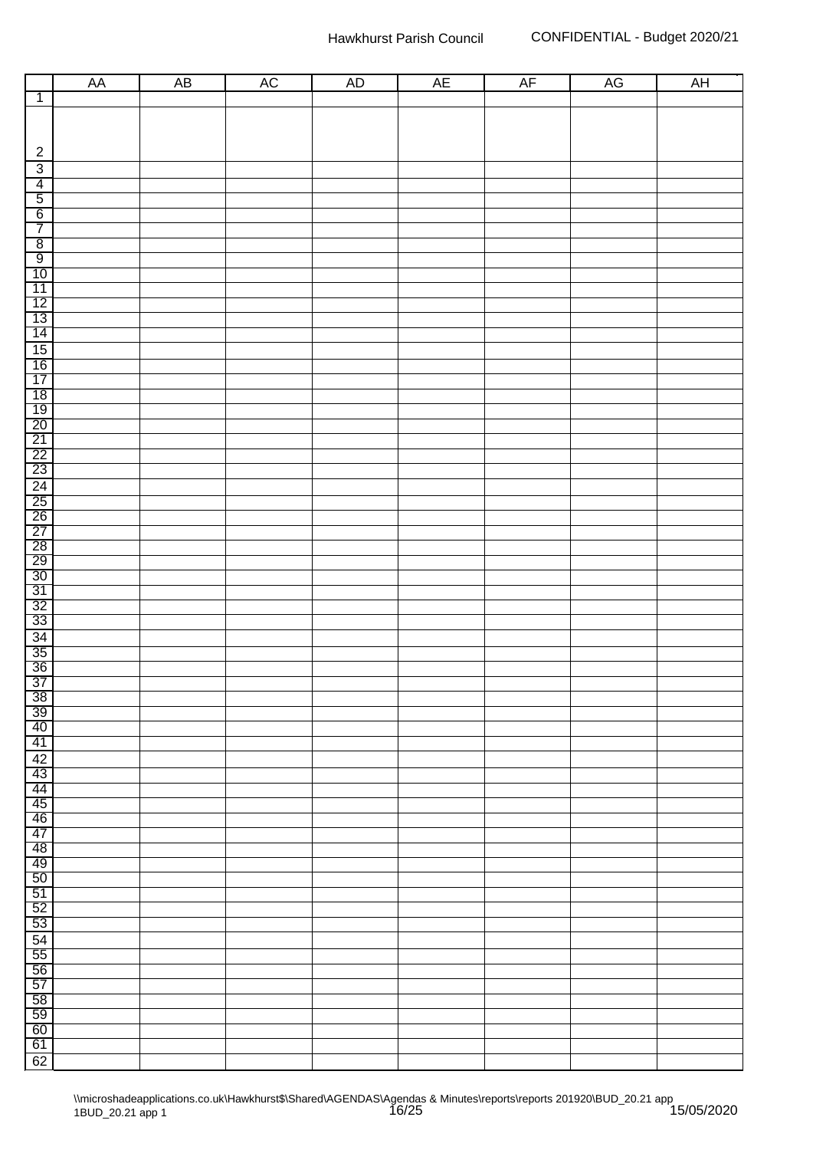|                                                         | ${\sf AA}$ | $\overline{AB}$ | AC | AD | AE | AF | AG | <b>AH</b> |
|---------------------------------------------------------|------------|-----------------|----|----|----|----|----|-----------|
| $\overline{1}$                                          |            |                 |    |    |    |    |    |           |
|                                                         |            |                 |    |    |    |    |    |           |
|                                                         |            |                 |    |    |    |    |    |           |
|                                                         |            |                 |    |    |    |    |    |           |
| $\overline{2}$                                          |            |                 |    |    |    |    |    |           |
| $\overline{3}$                                          |            |                 |    |    |    |    |    |           |
| $\frac{4}{5}$                                           |            |                 |    |    |    |    |    |           |
|                                                         |            |                 |    |    |    |    |    |           |
| $\overline{7}$                                          |            |                 |    |    |    |    |    |           |
|                                                         |            |                 |    |    |    |    |    |           |
|                                                         |            |                 |    |    |    |    |    |           |
|                                                         |            |                 |    |    |    |    |    |           |
|                                                         |            |                 |    |    |    |    |    |           |
|                                                         |            |                 |    |    |    |    |    |           |
|                                                         |            |                 |    |    |    |    |    |           |
|                                                         |            |                 |    |    |    |    |    |           |
|                                                         |            |                 |    |    |    |    |    |           |
|                                                         |            |                 |    |    |    |    |    |           |
|                                                         |            |                 |    |    |    |    |    |           |
|                                                         |            |                 |    |    |    |    |    |           |
|                                                         |            |                 |    |    |    |    |    |           |
|                                                         |            |                 |    |    |    |    |    |           |
| ∞ ∞ ⇔ 는 ဃ ଫ ଫ ଫ ଫ ଫ ଫ ଋ ଋ ଋ ଋ ଖ ଋ ଋ ଋ ଛ ଛ ଛ ଛ ଛ ଛ ଛ ଛ ଛ |            |                 |    |    |    |    |    |           |
|                                                         |            |                 |    |    |    |    |    |           |
|                                                         |            |                 |    |    |    |    |    |           |
|                                                         |            |                 |    |    |    |    |    |           |
|                                                         |            |                 |    |    |    |    |    |           |
|                                                         |            |                 |    |    |    |    |    |           |
|                                                         |            |                 |    |    |    |    |    |           |
|                                                         |            |                 |    |    |    |    |    |           |
|                                                         |            |                 |    |    |    |    |    |           |
|                                                         |            |                 |    |    |    |    |    |           |
|                                                         |            |                 |    |    |    |    |    |           |
|                                                         |            |                 |    |    |    |    |    |           |
|                                                         |            |                 |    |    |    |    |    |           |
|                                                         |            |                 |    |    |    |    |    |           |
|                                                         |            |                 |    |    |    |    |    |           |
| 39                                                      |            |                 |    |    |    |    |    |           |
| 40                                                      |            |                 |    |    |    |    |    |           |
| 41                                                      |            |                 |    |    |    |    |    |           |
| 42                                                      |            |                 |    |    |    |    |    |           |
| 43                                                      |            |                 |    |    |    |    |    |           |
| 44<br>45                                                |            |                 |    |    |    |    |    |           |
| 46                                                      |            |                 |    |    |    |    |    |           |
| 47                                                      |            |                 |    |    |    |    |    |           |
| 48                                                      |            |                 |    |    |    |    |    |           |
| 49                                                      |            |                 |    |    |    |    |    |           |
| 50                                                      |            |                 |    |    |    |    |    |           |
| 51                                                      |            |                 |    |    |    |    |    |           |
| 52                                                      |            |                 |    |    |    |    |    |           |
| 53                                                      |            |                 |    |    |    |    |    |           |
| 54<br>55                                                |            |                 |    |    |    |    |    |           |
| 56                                                      |            |                 |    |    |    |    |    |           |
| 57                                                      |            |                 |    |    |    |    |    |           |
| 58                                                      |            |                 |    |    |    |    |    |           |
| 59                                                      |            |                 |    |    |    |    |    |           |
| 60                                                      |            |                 |    |    |    |    |    |           |
| 61                                                      |            |                 |    |    |    |    |    |           |
| 62                                                      |            |                 |    |    |    |    |    |           |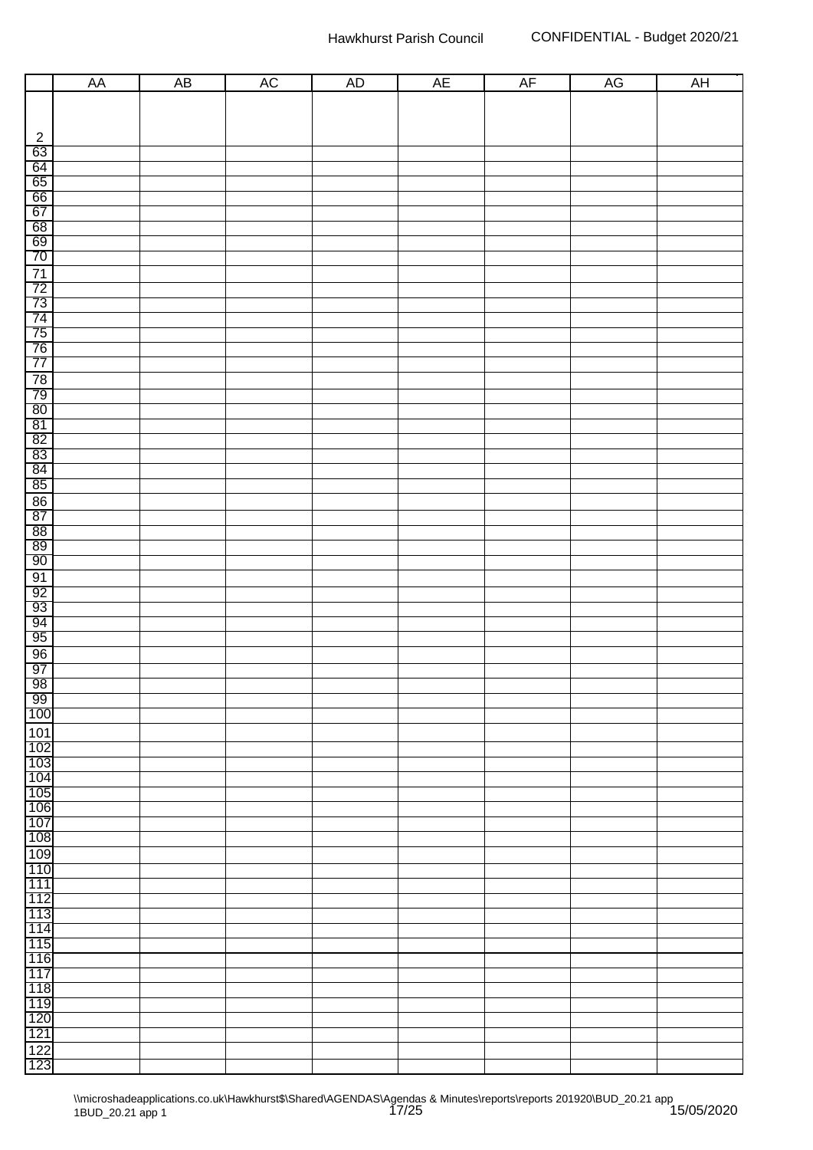|                                                                                                                                                                                                                               | AA | $\overline{AB}$ | AC | <b>AD</b> | AE | AF | AG | AH |
|-------------------------------------------------------------------------------------------------------------------------------------------------------------------------------------------------------------------------------|----|-----------------|----|-----------|----|----|----|----|
|                                                                                                                                                                                                                               |    |                 |    |           |    |    |    |    |
|                                                                                                                                                                                                                               |    |                 |    |           |    |    |    |    |
|                                                                                                                                                                                                                               |    |                 |    |           |    |    |    |    |
| $\frac{2}{63}$                                                                                                                                                                                                                |    |                 |    |           |    |    |    |    |
|                                                                                                                                                                                                                               |    |                 |    |           |    |    |    |    |
|                                                                                                                                                                                                                               |    |                 |    |           |    |    |    |    |
|                                                                                                                                                                                                                               |    |                 |    |           |    |    |    |    |
|                                                                                                                                                                                                                               |    |                 |    |           |    |    |    |    |
|                                                                                                                                                                                                                               |    |                 |    |           |    |    |    |    |
|                                                                                                                                                                                                                               |    |                 |    |           |    |    |    |    |
|                                                                                                                                                                                                                               |    |                 |    |           |    |    |    |    |
|                                                                                                                                                                                                                               |    |                 |    |           |    |    |    |    |
|                                                                                                                                                                                                                               |    |                 |    |           |    |    |    |    |
|                                                                                                                                                                                                                               |    |                 |    |           |    |    |    |    |
|                                                                                                                                                                                                                               |    |                 |    |           |    |    |    |    |
|                                                                                                                                                                                                                               |    |                 |    |           |    |    |    |    |
|                                                                                                                                                                                                                               |    |                 |    |           |    |    |    |    |
|                                                                                                                                                                                                                               |    |                 |    |           |    |    |    |    |
|                                                                                                                                                                                                                               |    |                 |    |           |    |    |    |    |
|                                                                                                                                                                                                                               |    |                 |    |           |    |    |    |    |
| 64 65 66 67 68 69 70 71 72 73 74 75 76 77 78 79 80 81 82 83 84 85 66 77 82 93 84 85 66 77 82 93 94 95 86 77 82 93 94 95 96 97 82 97 98 97 98 97 98 97 98 97 98 97 98 97 98 97 98 97 98 97 98 97 98 97 98 97 98 97 98 97 98 97 |    |                 |    |           |    |    |    |    |
|                                                                                                                                                                                                                               |    |                 |    |           |    |    |    |    |
|                                                                                                                                                                                                                               |    |                 |    |           |    |    |    |    |
|                                                                                                                                                                                                                               |    |                 |    |           |    |    |    |    |
|                                                                                                                                                                                                                               |    |                 |    |           |    |    |    |    |
|                                                                                                                                                                                                                               |    |                 |    |           |    |    |    |    |
|                                                                                                                                                                                                                               |    |                 |    |           |    |    |    |    |
|                                                                                                                                                                                                                               |    |                 |    |           |    |    |    |    |
|                                                                                                                                                                                                                               |    |                 |    |           |    |    |    |    |
|                                                                                                                                                                                                                               |    |                 |    |           |    |    |    |    |
|                                                                                                                                                                                                                               |    |                 |    |           |    |    |    |    |
| $\overline{91}$                                                                                                                                                                                                               |    |                 |    |           |    |    |    |    |
| $\frac{92}{93}$                                                                                                                                                                                                               |    |                 |    |           |    |    |    |    |
|                                                                                                                                                                                                                               |    |                 |    |           |    |    |    |    |
| $\frac{94}{95}$                                                                                                                                                                                                               |    |                 |    |           |    |    |    |    |
|                                                                                                                                                                                                                               |    |                 |    |           |    |    |    |    |
| 96<br>97                                                                                                                                                                                                                      |    |                 |    |           |    |    |    |    |
|                                                                                                                                                                                                                               |    |                 |    |           |    |    |    |    |
| $\frac{98}{99}$                                                                                                                                                                                                               |    |                 |    |           |    |    |    |    |
|                                                                                                                                                                                                                               |    |                 |    |           |    |    |    |    |
| 100                                                                                                                                                                                                                           |    |                 |    |           |    |    |    |    |
| <u>101</u>                                                                                                                                                                                                                    |    |                 |    |           |    |    |    |    |
| 102                                                                                                                                                                                                                           |    |                 |    |           |    |    |    |    |
| 103                                                                                                                                                                                                                           |    |                 |    |           |    |    |    |    |
| 104                                                                                                                                                                                                                           |    |                 |    |           |    |    |    |    |
| 105                                                                                                                                                                                                                           |    |                 |    |           |    |    |    |    |
| 106                                                                                                                                                                                                                           |    |                 |    |           |    |    |    |    |
| 107                                                                                                                                                                                                                           |    |                 |    |           |    |    |    |    |
| 108                                                                                                                                                                                                                           |    |                 |    |           |    |    |    |    |
| 109                                                                                                                                                                                                                           |    |                 |    |           |    |    |    |    |
| 110                                                                                                                                                                                                                           |    |                 |    |           |    |    |    |    |
| 111                                                                                                                                                                                                                           |    |                 |    |           |    |    |    |    |
| 112                                                                                                                                                                                                                           |    |                 |    |           |    |    |    |    |
| 113                                                                                                                                                                                                                           |    |                 |    |           |    |    |    |    |
| 114                                                                                                                                                                                                                           |    |                 |    |           |    |    |    |    |
| 115                                                                                                                                                                                                                           |    |                 |    |           |    |    |    |    |
| 116                                                                                                                                                                                                                           |    |                 |    |           |    |    |    |    |
| 117                                                                                                                                                                                                                           |    |                 |    |           |    |    |    |    |
| 118                                                                                                                                                                                                                           |    |                 |    |           |    |    |    |    |
| 119                                                                                                                                                                                                                           |    |                 |    |           |    |    |    |    |
| 120                                                                                                                                                                                                                           |    |                 |    |           |    |    |    |    |
| 121                                                                                                                                                                                                                           |    |                 |    |           |    |    |    |    |
| $\frac{122}{123}$                                                                                                                                                                                                             |    |                 |    |           |    |    |    |    |
|                                                                                                                                                                                                                               |    |                 |    |           |    |    |    |    |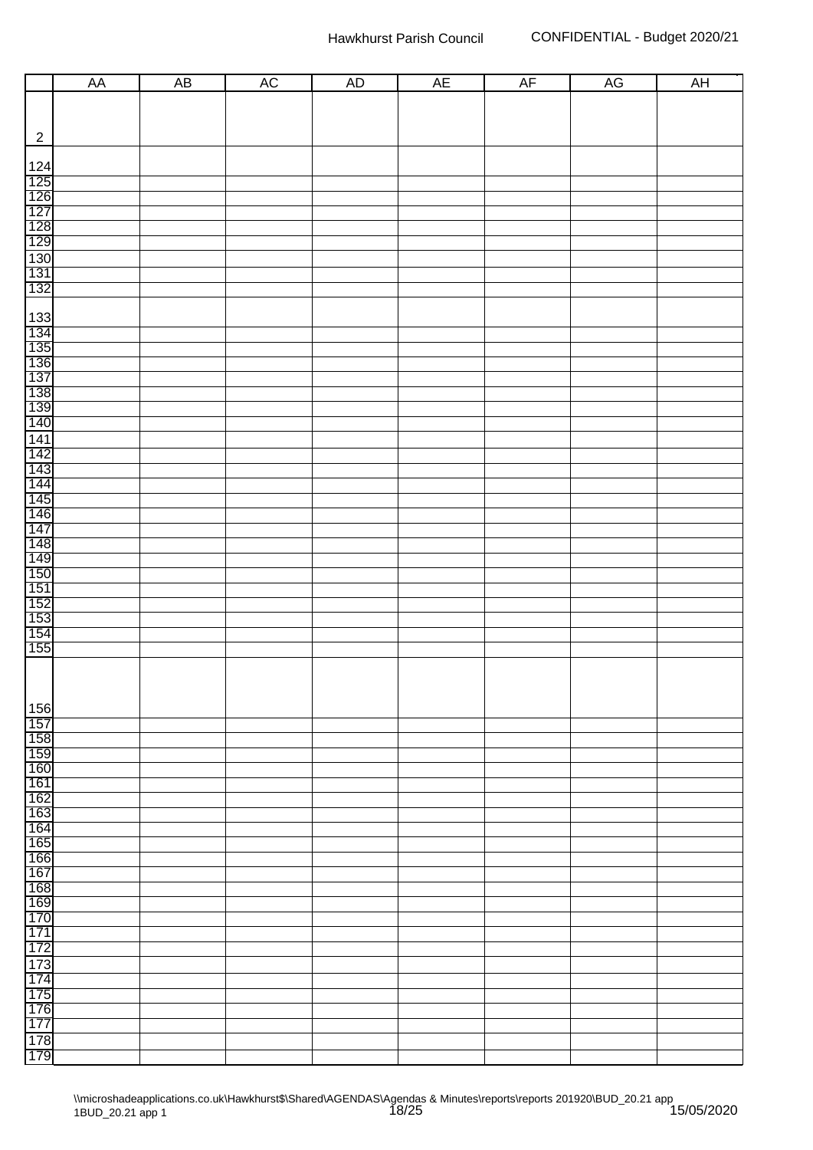|                                                             | AA | AB |    |    |    |    |    |    |
|-------------------------------------------------------------|----|----|----|----|----|----|----|----|
|                                                             |    |    | AC | AD | AE | AF | AG | AH |
|                                                             |    |    |    |    |    |    |    |    |
| $\overline{2}$                                              |    |    |    |    |    |    |    |    |
|                                                             |    |    |    |    |    |    |    |    |
|                                                             |    |    |    |    |    |    |    |    |
|                                                             |    |    |    |    |    |    |    |    |
|                                                             |    |    |    |    |    |    |    |    |
| 124<br>125<br>126<br>127<br>128<br>130<br>131<br>132        |    |    |    |    |    |    |    |    |
|                                                             |    |    |    |    |    |    |    |    |
|                                                             |    |    |    |    |    |    |    |    |
|                                                             |    |    |    |    |    |    |    |    |
|                                                             |    |    |    |    |    |    |    |    |
|                                                             |    |    |    |    |    |    |    |    |
|                                                             |    |    |    |    |    |    |    |    |
| 133<br>134<br>135<br>136<br>137<br>138<br>139<br>140<br>140 |    |    |    |    |    |    |    |    |
|                                                             |    |    |    |    |    |    |    |    |
|                                                             |    |    |    |    |    |    |    |    |
|                                                             |    |    |    |    |    |    |    |    |
|                                                             |    |    |    |    |    |    |    |    |
|                                                             |    |    |    |    |    |    |    |    |
|                                                             |    |    |    |    |    |    |    |    |
|                                                             |    |    |    |    |    |    |    |    |
|                                                             |    |    |    |    |    |    |    |    |
|                                                             |    |    |    |    |    |    |    |    |
|                                                             |    |    |    |    |    |    |    |    |
|                                                             |    |    |    |    |    |    |    |    |
|                                                             |    |    |    |    |    |    |    |    |
|                                                             |    |    |    |    |    |    |    |    |
|                                                             |    |    |    |    |    |    |    |    |
|                                                             |    |    |    |    |    |    |    |    |
|                                                             |    |    |    |    |    |    |    |    |
|                                                             |    |    |    |    |    |    |    |    |
| 156                                                         |    |    |    |    |    |    |    |    |
| 157                                                         |    |    |    |    |    |    |    |    |
| 158<br>159                                                  |    |    |    |    |    |    |    |    |
| 160                                                         |    |    |    |    |    |    |    |    |
| 161                                                         |    |    |    |    |    |    |    |    |
| 162<br>163                                                  |    |    |    |    |    |    |    |    |
| 164                                                         |    |    |    |    |    |    |    |    |
| 165                                                         |    |    |    |    |    |    |    |    |
| 166<br>167                                                  |    |    |    |    |    |    |    |    |
| 168                                                         |    |    |    |    |    |    |    |    |
| 169                                                         |    |    |    |    |    |    |    |    |
| 170                                                         |    |    |    |    |    |    |    |    |
| 171<br>172                                                  |    |    |    |    |    |    |    |    |
| 173                                                         |    |    |    |    |    |    |    |    |
| 174                                                         |    |    |    |    |    |    |    |    |
| 175                                                         |    |    |    |    |    |    |    |    |
| 176<br>177                                                  |    |    |    |    |    |    |    |    |
| 178                                                         |    |    |    |    |    |    |    |    |
| 179                                                         |    |    |    |    |    |    |    |    |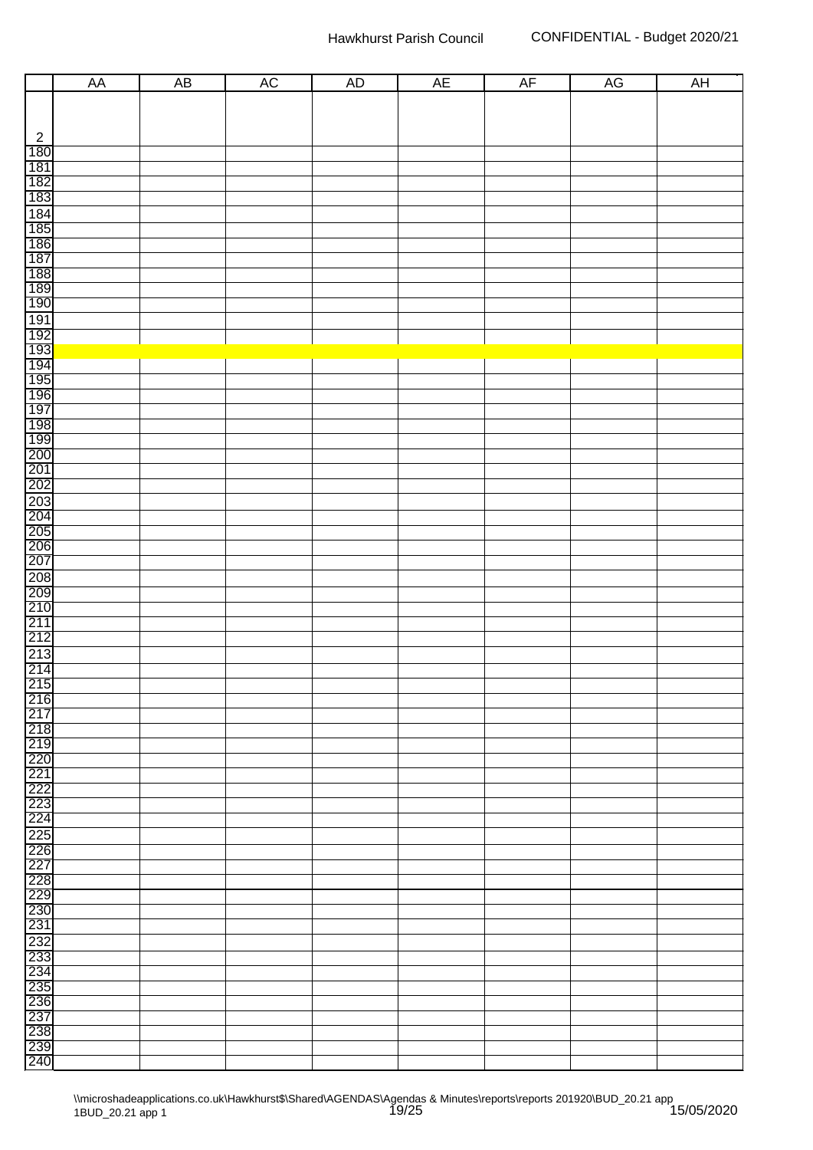|                                                                                                    | AA | AB | <b>AC</b> | <b>AD</b> | <b>AE</b> | AF | AG | AH |
|----------------------------------------------------------------------------------------------------|----|----|-----------|-----------|-----------|----|----|----|
|                                                                                                    |    |    |           |           |           |    |    |    |
|                                                                                                    |    |    |           |           |           |    |    |    |
|                                                                                                    |    |    |           |           |           |    |    |    |
|                                                                                                    |    |    |           |           |           |    |    |    |
|                                                                                                    |    |    |           |           |           |    |    |    |
| $\begin{array}{r} 2 \\ \hline 180 \\ \hline 187 \\ \hline 182 \\ \hline 183 \\ \hline \end{array}$ |    |    |           |           |           |    |    |    |
|                                                                                                    |    |    |           |           |           |    |    |    |
|                                                                                                    |    |    |           |           |           |    |    |    |
|                                                                                                    |    |    |           |           |           |    |    |    |
| 184<br>185<br>186<br>187<br>188<br>190<br>190                                                      |    |    |           |           |           |    |    |    |
|                                                                                                    |    |    |           |           |           |    |    |    |
|                                                                                                    |    |    |           |           |           |    |    |    |
|                                                                                                    |    |    |           |           |           |    |    |    |
|                                                                                                    |    |    |           |           |           |    |    |    |
|                                                                                                    |    |    |           |           |           |    |    |    |
|                                                                                                    |    |    |           |           |           |    |    |    |
|                                                                                                    |    |    |           |           |           |    |    |    |
|                                                                                                    |    |    |           |           |           |    |    |    |
| <u>TARA REFERENCES POSSES</u>                                                                      |    |    |           |           |           |    |    |    |
|                                                                                                    |    |    |           |           |           |    |    |    |
|                                                                                                    |    |    |           |           |           |    |    |    |
|                                                                                                    |    |    |           |           |           |    |    |    |
|                                                                                                    |    |    |           |           |           |    |    |    |
|                                                                                                    |    |    |           |           |           |    |    |    |
|                                                                                                    |    |    |           |           |           |    |    |    |
|                                                                                                    |    |    |           |           |           |    |    |    |
|                                                                                                    |    |    |           |           |           |    |    |    |
|                                                                                                    |    |    |           |           |           |    |    |    |
|                                                                                                    |    |    |           |           |           |    |    |    |
|                                                                                                    |    |    |           |           |           |    |    |    |
|                                                                                                    |    |    |           |           |           |    |    |    |
|                                                                                                    |    |    |           |           |           |    |    |    |
|                                                                                                    |    |    |           |           |           |    |    |    |
|                                                                                                    |    |    |           |           |           |    |    |    |
|                                                                                                    |    |    |           |           |           |    |    |    |
| $\frac{213}{214}$                                                                                  |    |    |           |           |           |    |    |    |
| 215<br>216                                                                                         |    |    |           |           |           |    |    |    |
|                                                                                                    |    |    |           |           |           |    |    |    |
| 217                                                                                                |    |    |           |           |           |    |    |    |
| 218<br>219                                                                                         |    |    |           |           |           |    |    |    |
| 220                                                                                                |    |    |           |           |           |    |    |    |
|                                                                                                    |    |    |           |           |           |    |    |    |
| $\frac{221}{222}$                                                                                  |    |    |           |           |           |    |    |    |
| 223                                                                                                |    |    |           |           |           |    |    |    |
| 224                                                                                                |    |    |           |           |           |    |    |    |
|                                                                                                    |    |    |           |           |           |    |    |    |
| 225<br>226                                                                                         |    |    |           |           |           |    |    |    |
| 227                                                                                                |    |    |           |           |           |    |    |    |
| 228<br>229<br>230                                                                                  |    |    |           |           |           |    |    |    |
|                                                                                                    |    |    |           |           |           |    |    |    |
|                                                                                                    |    |    |           |           |           |    |    |    |
| 231                                                                                                |    |    |           |           |           |    |    |    |
| 232<br>233                                                                                         |    |    |           |           |           |    |    |    |
| 234                                                                                                |    |    |           |           |           |    |    |    |
| 235                                                                                                |    |    |           |           |           |    |    |    |
|                                                                                                    |    |    |           |           |           |    |    |    |
| 236<br>237                                                                                         |    |    |           |           |           |    |    |    |
| 238<br>239                                                                                         |    |    |           |           |           |    |    |    |
|                                                                                                    |    |    |           |           |           |    |    |    |
| 240                                                                                                |    |    |           |           |           |    |    |    |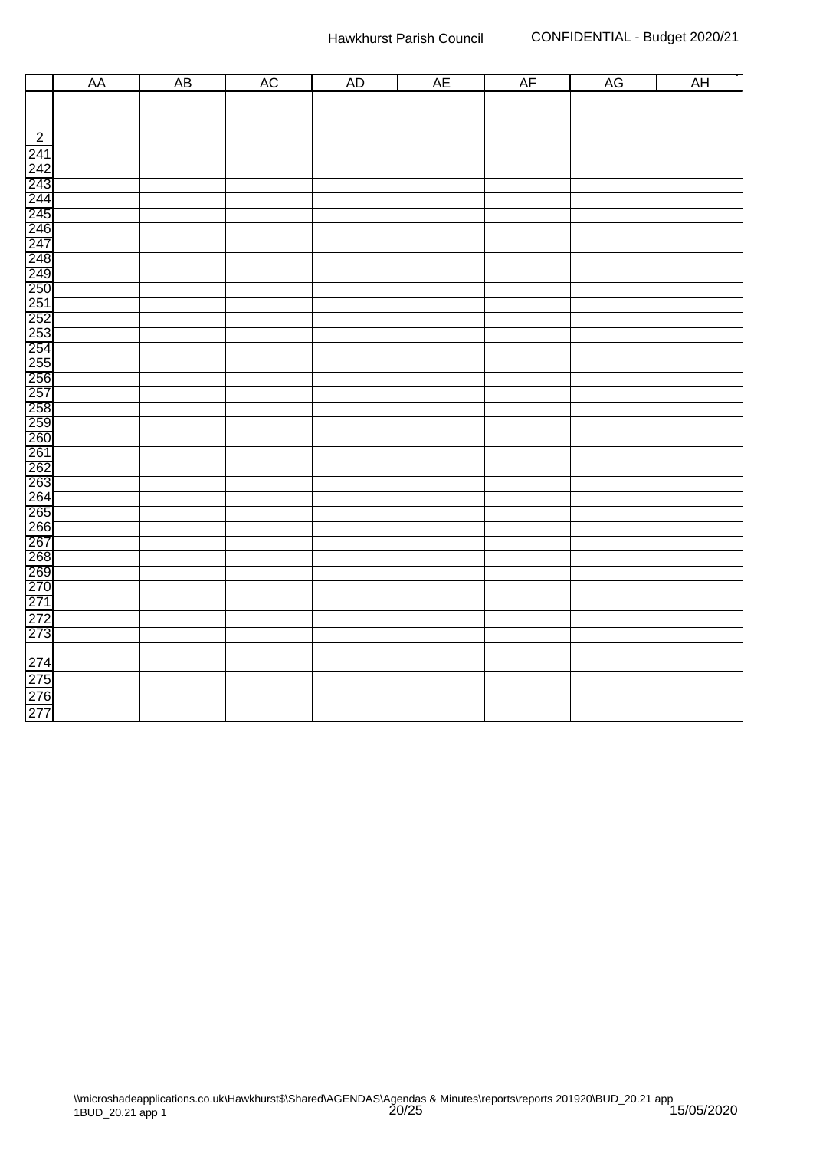|                | AA | <b>AB</b> | $\overline{\text{AC}}$ | <b>AD</b> | <b>AE</b> | AF | AG | AH |
|----------------|----|-----------|------------------------|-----------|-----------|----|----|----|
|                |    |           |                        |           |           |    |    |    |
|                |    |           |                        |           |           |    |    |    |
| $\overline{2}$ |    |           |                        |           |           |    |    |    |
|                |    |           |                        |           |           |    |    |    |
|                |    |           |                        |           |           |    |    |    |
|                |    |           |                        |           |           |    |    |    |
|                |    |           |                        |           |           |    |    |    |
|                |    |           |                        |           |           |    |    |    |
|                |    |           |                        |           |           |    |    |    |
|                |    |           |                        |           |           |    |    |    |
|                |    |           |                        |           |           |    |    |    |
|                |    |           |                        |           |           |    |    |    |
|                |    |           |                        |           |           |    |    |    |
|                |    |           |                        |           |           |    |    |    |
|                |    |           |                        |           |           |    |    |    |
|                |    |           |                        |           |           |    |    |    |
|                |    |           |                        |           |           |    |    |    |
|                |    |           |                        |           |           |    |    |    |
|                |    |           |                        |           |           |    |    |    |
|                |    |           |                        |           |           |    |    |    |
|                |    |           |                        |           |           |    |    |    |
|                |    |           |                        |           |           |    |    |    |
|                |    |           |                        |           |           |    |    |    |
|                |    |           |                        |           |           |    |    |    |
|                |    |           |                        |           |           |    |    |    |
|                |    |           |                        |           |           |    |    |    |
|                |    |           |                        |           |           |    |    |    |
|                |    |           |                        |           |           |    |    |    |
|                |    |           |                        |           |           |    |    |    |
|                |    |           |                        |           |           |    |    |    |
|                |    |           |                        |           |           |    |    |    |
|                |    |           |                        |           |           |    |    |    |
|                |    |           |                        |           |           |    |    |    |
|                |    |           |                        |           |           |    |    |    |
|                |    |           |                        |           |           |    |    |    |
|                |    |           |                        |           |           |    |    |    |
|                |    |           |                        |           |           |    |    |    |
|                |    |           |                        |           |           |    |    |    |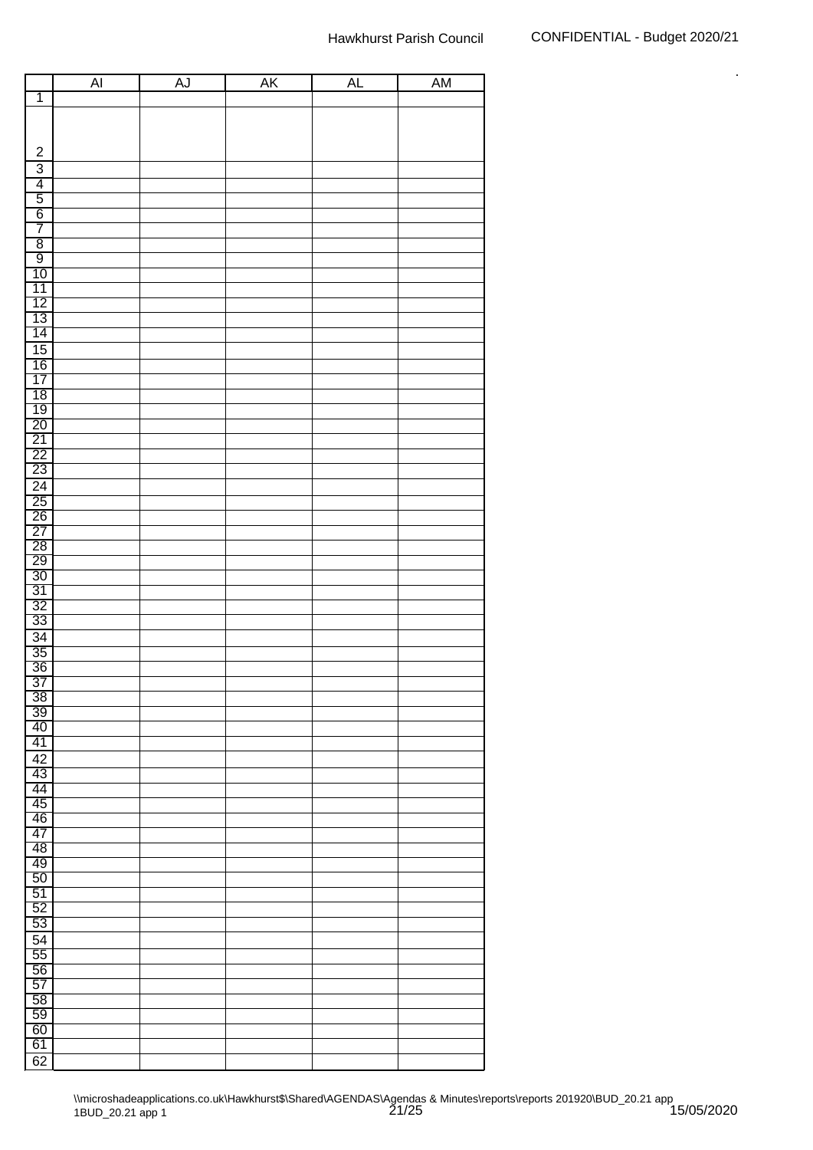|                                                          | $\overline{A}$ | AJ | AK | AL | <b>AM</b> |
|----------------------------------------------------------|----------------|----|----|----|-----------|
| $\overline{\mathbf{1}}$                                  |                |    |    |    |           |
|                                                          |                |    |    |    |           |
|                                                          |                |    |    |    |           |
| $\boldsymbol{2}$                                         |                |    |    |    |           |
| $\overline{3}$                                           |                |    |    |    |           |
| 4                                                        |                |    |    |    |           |
| $\overline{5}$                                           |                |    |    |    |           |
| $\overline{6}$                                           |                |    |    |    |           |
| $\overline{7}$                                           |                |    |    |    |           |
| $\overline{8}$                                           |                |    |    |    |           |
| $\overline{9}$                                           |                |    |    |    |           |
| 10                                                       |                |    |    |    |           |
| 11                                                       |                |    |    |    |           |
|                                                          |                |    |    |    |           |
| $\frac{12}{13}$                                          |                |    |    |    |           |
| 14                                                       |                |    |    |    |           |
| 15                                                       |                |    |    |    |           |
|                                                          |                |    |    |    |           |
| $\frac{16}{17}$                                          |                |    |    |    |           |
|                                                          |                |    |    |    |           |
|                                                          |                |    |    |    |           |
| $\frac{18}{19}$ $\frac{20}{21}$                          |                |    |    |    |           |
|                                                          |                |    |    |    |           |
| $\frac{22}{23}$                                          |                |    |    |    |           |
|                                                          |                |    |    |    |           |
| 24<br>25<br>26<br>27<br>28<br>30<br>30<br>31<br>32<br>33 |                |    |    |    |           |
|                                                          |                |    |    |    |           |
|                                                          |                |    |    |    |           |
|                                                          |                |    |    |    |           |
|                                                          |                |    |    |    |           |
|                                                          |                |    |    |    |           |
|                                                          |                |    |    |    |           |
|                                                          |                |    |    |    |           |
|                                                          |                |    |    |    |           |
|                                                          |                |    |    |    |           |
| $\frac{34}{35}$                                          |                |    |    |    |           |
|                                                          |                |    |    |    |           |
| $\frac{36}{36}$                                          |                |    |    |    |           |
|                                                          |                |    |    |    |           |
| $\frac{38}{39}$                                          |                |    |    |    |           |
| 40                                                       |                |    |    |    |           |
| 41                                                       |                |    |    |    |           |
| $\overline{42}$                                          |                |    |    |    |           |
| 43                                                       |                |    |    |    |           |
| 44                                                       |                |    |    |    |           |
| $\overline{45}$                                          |                |    |    |    |           |
| 46                                                       |                |    |    |    |           |
| 47                                                       |                |    |    |    |           |
| $\overline{48}$                                          |                |    |    |    |           |
| 49                                                       |                |    |    |    |           |
| 50                                                       |                |    |    |    |           |
| 51                                                       |                |    |    |    |           |
| 52                                                       |                |    |    |    |           |
| 53                                                       |                |    |    |    |           |
| 54                                                       |                |    |    |    |           |
| 55                                                       |                |    |    |    |           |
| 56                                                       |                |    |    |    |           |
| 57                                                       |                |    |    |    |           |
| 58                                                       |                |    |    |    |           |
| 59                                                       |                |    |    |    |           |
| 60                                                       |                |    |    |    |           |
| 61                                                       |                |    |    |    |           |
| 62                                                       |                |    |    |    |           |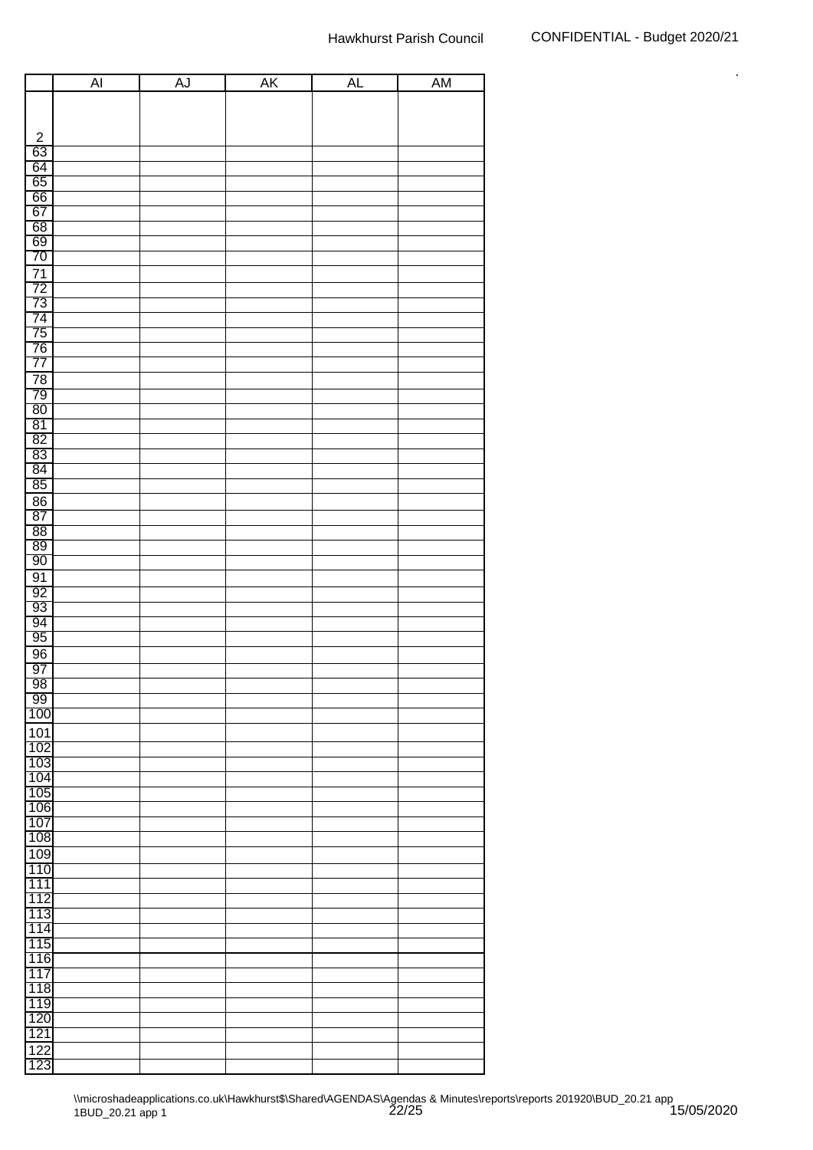|                 | AI | AJ | <b>AK</b> | <b>AL</b> | <b>AM</b> |
|-----------------|----|----|-----------|-----------|-----------|
|                 |    |    |           |           |           |
|                 |    |    |           |           |           |
|                 |    |    |           |           |           |
| $\frac{2}{63}$  |    |    |           |           |           |
| 64              |    |    |           |           |           |
|                 |    |    |           |           |           |
| $\frac{65}{66}$ |    |    |           |           |           |
| 67              |    |    |           |           |           |
| 68              |    |    |           |           |           |
| 69              |    |    |           |           |           |
| 70              |    |    |           |           |           |
| $\overline{71}$ |    |    |           |           |           |
| 72              |    |    |           |           |           |
| $\overline{73}$ |    |    |           |           |           |
| $\overline{74}$ |    |    |           |           |           |
| $\overline{75}$ |    |    |           |           |           |
| <u>76</u>       |    |    |           |           |           |
| 77              |    |    |           |           |           |
| 78              |    |    |           |           |           |
| $\overline{79}$ |    |    |           |           |           |
| 80<br>81        |    |    |           |           |           |
| $\overline{82}$ |    |    |           |           |           |
| $\frac{83}{ }$  |    |    |           |           |           |
|                 |    |    |           |           |           |
| $\frac{84}{84}$ |    |    |           |           |           |
|                 |    |    |           |           |           |
| 86<br>87        |    |    |           |           |           |
| 88              |    |    |           |           |           |
| 89              |    |    |           |           |           |
| 90              |    |    |           |           |           |
| 91              |    |    |           |           |           |
| $\frac{92}{93}$ |    |    |           |           |           |
|                 |    |    |           |           |           |
|                 |    |    |           |           |           |
| 95              |    |    |           |           |           |
| 96              |    |    |           |           |           |
| 97              |    |    |           |           |           |
| 98              |    |    |           |           |           |
| 99              |    |    |           |           |           |
| 100             |    |    |           |           |           |
| 101             |    |    |           |           |           |
| 102             |    |    |           |           |           |
| 103             |    |    |           |           |           |
| 104             |    |    |           |           |           |
| 105             |    |    |           |           |           |
| 106             |    |    |           |           |           |
| 107<br>108      |    |    |           |           |           |
|                 |    |    |           |           |           |
| 109<br>110      |    |    |           |           |           |
| 111             |    |    |           |           |           |
| 112             |    |    |           |           |           |
| 113             |    |    |           |           |           |
| 114             |    |    |           |           |           |
| 115             |    |    |           |           |           |
| 116             |    |    |           |           |           |
| 117             |    |    |           |           |           |
| 118             |    |    |           |           |           |
| 119             |    |    |           |           |           |
| 120             |    |    |           |           |           |
| 121             |    |    |           |           |           |
| 122             |    |    |           |           |           |
| 123             |    |    |           |           |           |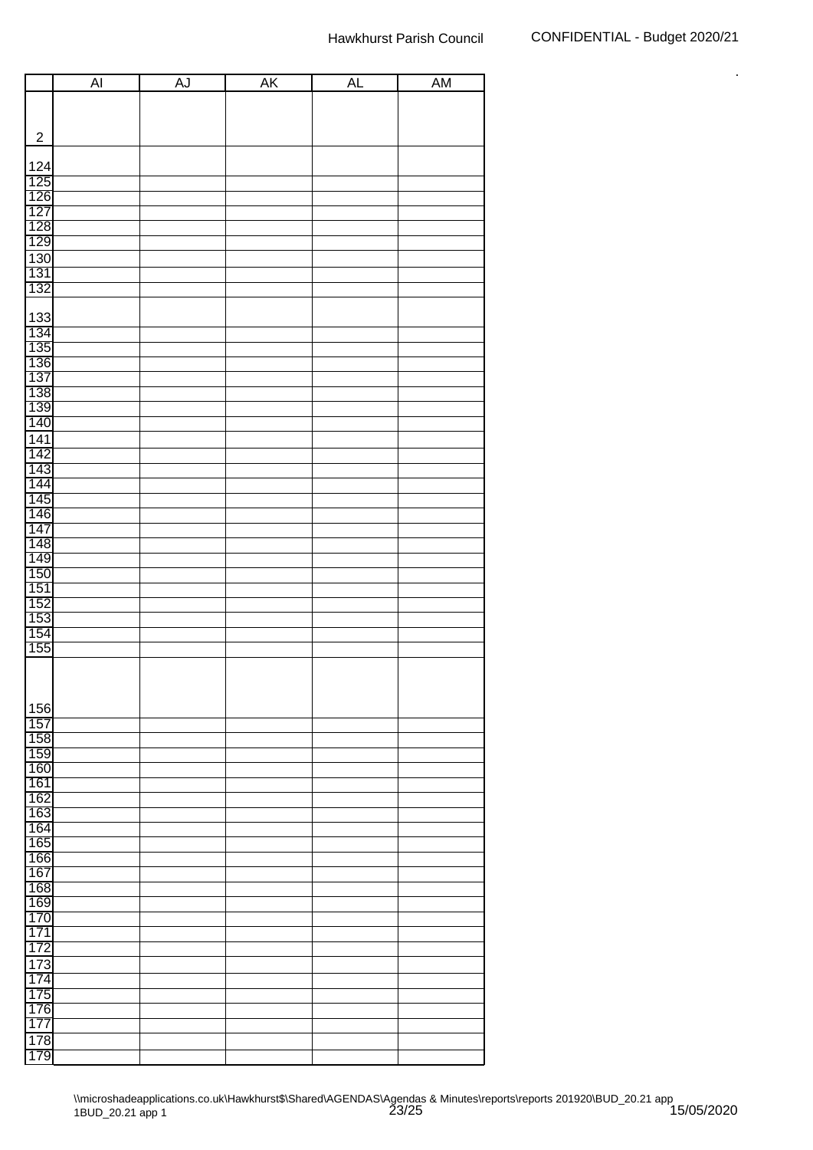|                                        | $\overline{AI}$ | AJ | <b>AK</b> | <b>AL</b> | <b>AM</b> |
|----------------------------------------|-----------------|----|-----------|-----------|-----------|
|                                        |                 |    |           |           |           |
|                                        |                 |    |           |           |           |
| $\sqrt{2}$                             |                 |    |           |           |           |
|                                        |                 |    |           |           |           |
| 124                                    |                 |    |           |           |           |
|                                        |                 |    |           |           |           |
|                                        |                 |    |           |           |           |
|                                        |                 |    |           |           |           |
| 125<br>126<br>127<br>128<br>129        |                 |    |           |           |           |
|                                        |                 |    |           |           |           |
| 130                                    |                 |    |           |           |           |
| $\frac{131}{132}$                      |                 |    |           |           |           |
|                                        |                 |    |           |           |           |
|                                        |                 |    |           |           |           |
| 133                                    |                 |    |           |           |           |
| 134                                    |                 |    |           |           |           |
|                                        |                 |    |           |           |           |
|                                        |                 |    |           |           |           |
|                                        |                 |    |           |           |           |
|                                        |                 |    |           |           |           |
| 135<br>136<br>137<br>139<br>140<br>140 |                 |    |           |           |           |
|                                        |                 |    |           |           |           |
| 141<br>142                             |                 |    |           |           |           |
| 143                                    |                 |    |           |           |           |
|                                        |                 |    |           |           |           |
| $\frac{1}{144}$                        |                 |    |           |           |           |
| 146                                    |                 |    |           |           |           |
| 147                                    |                 |    |           |           |           |
| 148                                    |                 |    |           |           |           |
|                                        |                 |    |           |           |           |
| $\frac{11}{149}$                       |                 |    |           |           |           |
| $\frac{151}{152}$                      |                 |    |           |           |           |
|                                        |                 |    |           |           |           |
| 153                                    |                 |    |           |           |           |
| $\frac{154}{155}$                      |                 |    |           |           |           |
|                                        |                 |    |           |           |           |
|                                        |                 |    |           |           |           |
|                                        |                 |    |           |           |           |
|                                        |                 |    |           |           |           |
| 156                                    |                 |    |           |           |           |
| 157                                    |                 |    |           |           |           |
| 158                                    |                 |    |           |           |           |
| 159<br>160                             |                 |    |           |           |           |
| 161                                    |                 |    |           |           |           |
| 162                                    |                 |    |           |           |           |
| 163                                    |                 |    |           |           |           |
| 164                                    |                 |    |           |           |           |
| 165                                    |                 |    |           |           |           |
| 166                                    |                 |    |           |           |           |
| 167                                    |                 |    |           |           |           |
| 168                                    |                 |    |           |           |           |
| 169                                    |                 |    |           |           |           |
| 170                                    |                 |    |           |           |           |
| 171                                    |                 |    |           |           |           |
| 172                                    |                 |    |           |           |           |
| 173                                    |                 |    |           |           |           |
| 174                                    |                 |    |           |           |           |
| 175                                    |                 |    |           |           |           |
| 176                                    |                 |    |           |           |           |
| 177                                    |                 |    |           |           |           |
| 178                                    |                 |    |           |           |           |
| 179                                    |                 |    |           |           |           |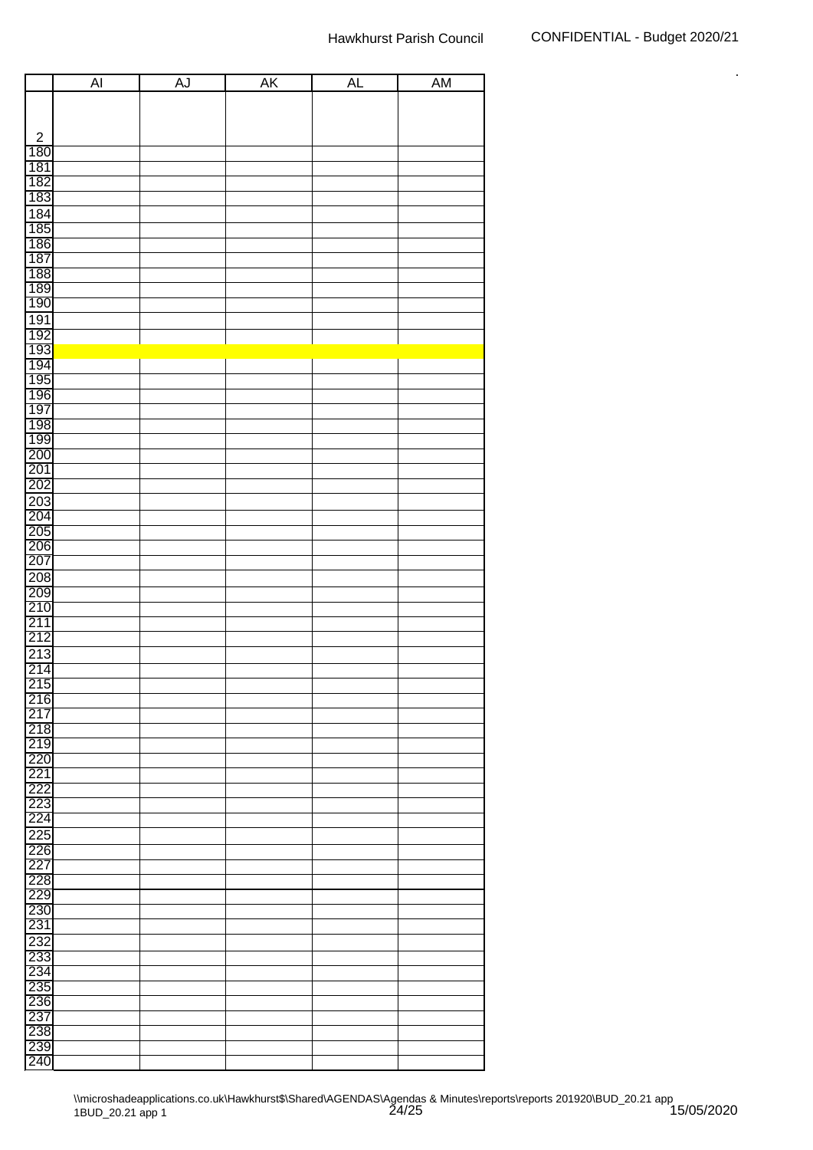|                                        | $\overline{AI}$ | AJ | <b>AK</b> | <b>AL</b> | <b>AM</b> |
|----------------------------------------|-----------------|----|-----------|-----------|-----------|
|                                        |                 |    |           |           |           |
|                                        |                 |    |           |           |           |
| $\sqrt{2}$                             |                 |    |           |           |           |
| 180                                    |                 |    |           |           |           |
| 181                                    |                 |    |           |           |           |
|                                        |                 |    |           |           |           |
| 182<br>183                             |                 |    |           |           |           |
|                                        |                 |    |           |           |           |
| 184<br>185                             |                 |    |           |           |           |
|                                        |                 |    |           |           |           |
| 186<br>187                             |                 |    |           |           |           |
| 188<br>189                             |                 |    |           |           |           |
|                                        |                 |    |           |           |           |
| 190                                    |                 |    |           |           |           |
| 191                                    |                 |    |           |           |           |
|                                        |                 |    |           |           |           |
|                                        |                 |    |           |           |           |
| 192<br>193<br>194                      |                 |    |           |           |           |
| 195                                    |                 |    |           |           |           |
| 196                                    |                 |    |           |           |           |
|                                        |                 |    |           |           |           |
| $\frac{197}{198}$<br>$\frac{198}{199}$ |                 |    |           |           |           |
|                                        |                 |    |           |           |           |
| 200                                    |                 |    |           |           |           |
| $\frac{201}{202}$                      |                 |    |           |           |           |
|                                        |                 |    |           |           |           |
| 203                                    |                 |    |           |           |           |
| $\frac{204}{205}$                      |                 |    |           |           |           |
|                                        |                 |    |           |           |           |
|                                        |                 |    |           |           |           |
| 207                                    |                 |    |           |           |           |
| 208                                    |                 |    |           |           |           |
| 209                                    |                 |    |           |           |           |
| $\frac{210}{211}$<br>211<br>212        |                 |    |           |           |           |
|                                        |                 |    |           |           |           |
|                                        |                 |    |           |           |           |
| 213                                    |                 |    |           |           |           |
| $\frac{214}{215}$                      |                 |    |           |           |           |
|                                        |                 |    |           |           |           |
| 216                                    |                 |    |           |           |           |
| 217                                    |                 |    |           |           |           |
| 218<br>219<br>220                      |                 |    |           |           |           |
|                                        |                 |    |           |           |           |
| 221                                    |                 |    |           |           |           |
| 222                                    |                 |    |           |           |           |
| 223                                    |                 |    |           |           |           |
| 224                                    |                 |    |           |           |           |
|                                        |                 |    |           |           |           |
| 225<br>226                             |                 |    |           |           |           |
| 227                                    |                 |    |           |           |           |
| 228                                    |                 |    |           |           |           |
| 229                                    |                 |    |           |           |           |
| $\overline{230}$                       |                 |    |           |           |           |
| 231                                    |                 |    |           |           |           |
|                                        |                 |    |           |           |           |
| 232<br>233                             |                 |    |           |           |           |
| 234                                    |                 |    |           |           |           |
| 235                                    |                 |    |           |           |           |
|                                        |                 |    |           |           |           |
| 236<br>237                             |                 |    |           |           |           |
| 238                                    |                 |    |           |           |           |
| 239                                    |                 |    |           |           |           |
| 240                                    |                 |    |           |           |           |